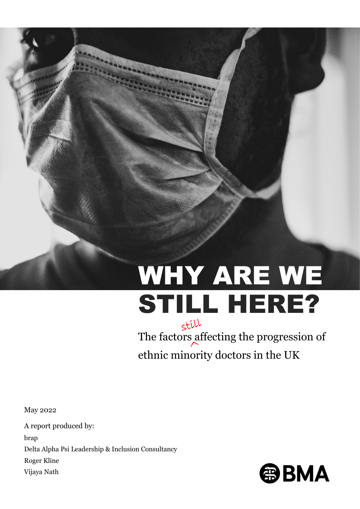# WHY ARE WE STILL HERE?

The factors affecting the progression of ethnic minority doctors in the UK

May 2022

A report produced by: brap Delta Alpha Psi Leadership & Inclusion Consultancy Roger Kline Vijaya Nath

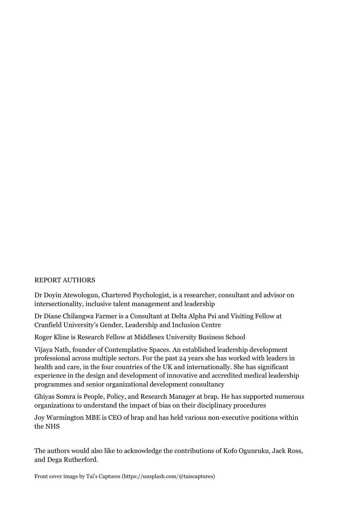#### REPORT AUTHORS

Dr Doyin Atewologun, Chartered Psychologist, is a researcher, consultant and advisor on intersectionality, inclusive talent management and leadership

Dr Diane Chilangwa Farmer is a Consultant at Delta Alpha Psi and Visiting Fellow at Cranfield University's Gender, Leadership and Inclusion Centre

Roger Kline is Research Fellow at Middlesex University Business School

Vijaya Nath, founder of Contemplative Spaces. An established leadership development professional across multiple sectors. For the past 24 years she has worked with leaders in health and care, in the four countries of the UK and internationally. She has significant experience in the design and development of innovative and accredited medical leadership programmes and senior organizational development consultancy

Ghiyas Somra is People, Policy, and Research Manager at brap. He has supported numerous organizations to understand the impact of bias on their disciplinary procedures

Joy Warmington MBE is CEO of brap and has held various non-executive positions within the NHS

The authors would also like to acknowledge the contributions of Kofo Ogunruku, Jack Ross, and Dega Rutherford.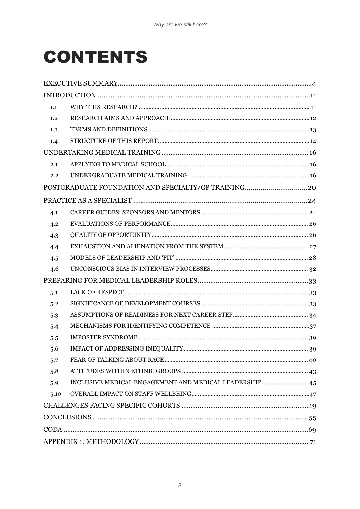# **CONTENTS**

| 1.1  |                                                        |  |  |
|------|--------------------------------------------------------|--|--|
| 1.2  |                                                        |  |  |
| 1.3  |                                                        |  |  |
| 1.4  |                                                        |  |  |
|      |                                                        |  |  |
| 2.1  |                                                        |  |  |
| 2.2  |                                                        |  |  |
|      |                                                        |  |  |
|      |                                                        |  |  |
| 4.1  |                                                        |  |  |
| 4.2  |                                                        |  |  |
| 4.3  |                                                        |  |  |
| 4.4  |                                                        |  |  |
| 4.5  |                                                        |  |  |
| 4.6  |                                                        |  |  |
|      |                                                        |  |  |
| 5.1  |                                                        |  |  |
| 5.2  |                                                        |  |  |
| 5.3  |                                                        |  |  |
| 5.4  |                                                        |  |  |
| 5.5  |                                                        |  |  |
| 5.6  |                                                        |  |  |
| 5.7  |                                                        |  |  |
| 5.8  |                                                        |  |  |
| 5.9  | INCLUSIVE MEDICAL ENGAGEMENT AND MEDICAL LEADERSHIP 45 |  |  |
| 5.10 |                                                        |  |  |
|      |                                                        |  |  |
|      |                                                        |  |  |
|      |                                                        |  |  |
|      |                                                        |  |  |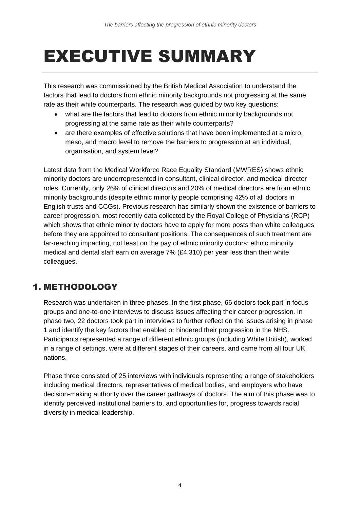# <span id="page-3-0"></span>EXECUTIVE SUMMARY

This research was commissioned by the British Medical Association to understand the factors that lead to doctors from ethnic minority backgrounds not progressing at the same rate as their white counterparts. The research was guided by two key questions:

- what are the factors that lead to doctors from ethnic minority backgrounds not progressing at the same rate as their white counterparts?
- are there examples of effective solutions that have been implemented at a micro, meso, and macro level to remove the barriers to progression at an individual, organisation, and system level?

Latest data from the Medical Workforce Race Equality Standard (MWRES) shows ethnic minority doctors are underrepresented in consultant, clinical director, and medical director roles. Currently, only 26% of clinical directors and 20% of medical directors are from ethnic minority backgrounds (despite ethnic minority people comprising 42% of all doctors in English trusts and CCGs). Previous research has similarly shown the existence of barriers to career progression, most recently data collected by the Royal College of Physicians (RCP) which shows that ethnic minority doctors have to apply for more posts than white colleagues before they are appointed to consultant positions. The consequences of such treatment are far-reaching impacting, not least on the pay of ethnic minority doctors: ethnic minority medical and dental staff earn on average 7% (£4,310) per year less than their white colleagues.

# 1. METHODOLOGY

Research was undertaken in three phases. In the first phase, 66 doctors took part in focus groups and one-to-one interviews to discuss issues affecting their career progression. In phase two, 22 doctors took part in interviews to further reflect on the issues arising in phase 1 and identify the key factors that enabled or hindered their progression in the NHS. Participants represented a range of different ethnic groups (including White British), worked in a range of settings, were at different stages of their careers, and came from all four UK nations.

Phase three consisted of 25 interviews with individuals representing a range of stakeholders including medical directors, representatives of medical bodies, and employers who have decision-making authority over the career pathways of doctors. The aim of this phase was to identify perceived institutional barriers to, and opportunities for, progress towards racial diversity in medical leadership.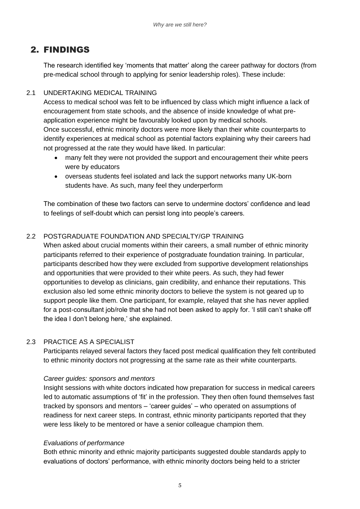# 2. FINDINGS

The research identified key 'moments that matter' along the career pathway for doctors (from pre-medical school through to applying for senior leadership roles). These include:

### 2.1 UNDERTAKING MEDICAL TRAINING

Access to medical school was felt to be influenced by class which might influence a lack of encouragement from state schools, and the absence of inside knowledge of what preapplication experience might be favourably looked upon by medical schools. Once successful, ethnic minority doctors were more likely than their white counterparts to identify experiences at medical school as potential factors explaining why their careers had not progressed at the rate they would have liked. In particular:

- many felt they were not provided the support and encouragement their white peers were by educators
- overseas students feel isolated and lack the support networks many UK-born students have. As such, many feel they underperform

The combination of these two factors can serve to undermine doctors' confidence and lead to feelings of self-doubt which can persist long into people's careers.

### 2.2 POSTGRADUATE FOUNDATION AND SPECIALTY/GP TRAINING

When asked about crucial moments within their careers, a small number of ethnic minority participants referred to their experience of postgraduate foundation training. In particular, participants described how they were excluded from supportive development relationships and opportunities that were provided to their white peers. As such, they had fewer opportunities to develop as clinicians, gain credibility, and enhance their reputations. This exclusion also led some ethnic minority doctors to believe the system is not geared up to support people like them. One participant, for example, relayed that she has never applied for a post-consultant job/role that she had not been asked to apply for. 'I still can't shake off the idea I don't belong here,' she explained.

### 2.3 PRACTICE AS A SPECIALIST

Participants relayed several factors they faced post medical qualification they felt contributed to ethnic minority doctors not progressing at the same rate as their white counterparts.

### *Career guides: sponsors and mentors*

Insight sessions with white doctors indicated how preparation for success in medical careers led to automatic assumptions of 'fit' in the profession. They then often found themselves fast tracked by sponsors and mentors – 'career guides' – who operated on assumptions of readiness for next career steps. In contrast, ethnic minority participants reported that they were less likely to be mentored or have a senior colleague champion them.

### *Evaluations of performance*

Both ethnic minority and ethnic majority participants suggested double standards apply to evaluations of doctors' performance, with ethnic minority doctors being held to a stricter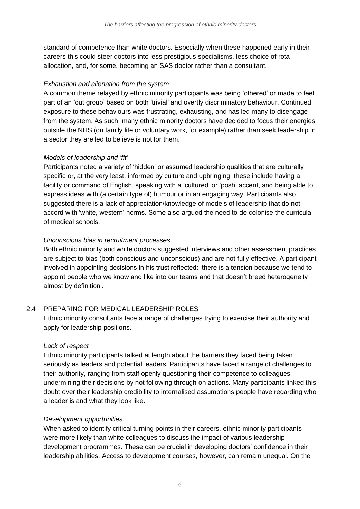standard of competence than white doctors. Especially when these happened early in their careers this could steer doctors into less prestigious specialisms, less choice of rota allocation, and, for some, becoming an SAS doctor rather than a consultant.

#### *Exhaustion and alienation from the system*

A common theme relayed by ethnic minority participants was being 'othered' or made to feel part of an 'out group' based on both 'trivial' and overtly discriminatory behaviour. Continued exposure to these behaviours was frustrating, exhausting, and has led many to disengage from the system. As such, many ethnic minority doctors have decided to focus their energies outside the NHS (on family life or voluntary work, for example) rather than seek leadership in a sector they are led to believe is not for them.

#### *Models of leadership and 'fit'*

Participants noted a variety of 'hidden' or assumed leadership qualities that are culturally specific or, at the very least, informed by culture and upbringing; these include having a facility or command of English, speaking with a 'cultured' or 'posh' accent, and being able to express ideas with (a certain type of) humour or in an engaging way. Participants also suggested there is a lack of appreciation/knowledge of models of leadership that do not accord with 'white, western' norms. Some also argued the need to de-colonise the curricula of medical schools.

#### *Unconscious bias in recruitment processes*

Both ethnic minority and white doctors suggested interviews and other assessment practices are subject to bias (both conscious and unconscious) and are not fully effective. A participant involved in appointing decisions in his trust reflected: 'there is a tension because we tend to appoint people who we know and like into our teams and that doesn't breed heterogeneity almost by definition'.

### 2.4 PREPARING FOR MEDICAL LEADERSHIP ROLES

Ethnic minority consultants face a range of challenges trying to exercise their authority and apply for leadership positions.

### *Lack of respect*

Ethnic minority participants talked at length about the barriers they faced being taken seriously as leaders and potential leaders. Participants have faced a range of challenges to their authority, ranging from staff openly questioning their competence to colleagues undermining their decisions by not following through on actions. Many participants linked this doubt over their leadership credibility to internalised assumptions people have regarding who a leader is and what they look like.

### *Development opportunities*

When asked to identify critical turning points in their careers, ethnic minority participants were more likely than white colleagues to discuss the impact of various leadership development programmes. These can be crucial in developing doctors' confidence in their leadership abilities. Access to development courses, however, can remain unequal. On the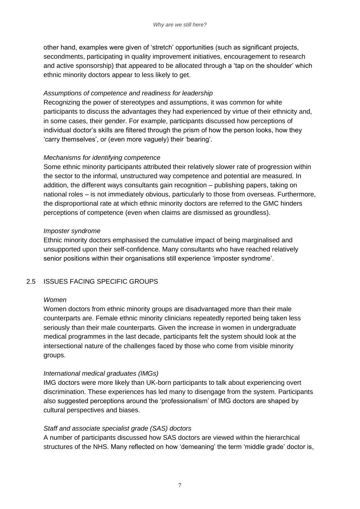other hand, examples were given of 'stretch' opportunities (such as significant projects, secondments, participating in quality improvement initiatives, encouragement to research and active sponsorship) that appeared to be allocated through a 'tap on the shoulder' which ethnic minority doctors appear to less likely to get.

#### *Assumptions of competence and readiness for leadership*

Recognizing the power of stereotypes and assumptions, it was common for white participants to discuss the advantages they had experienced by virtue of their ethnicity and, in some cases, their gender. For example, participants discussed how perceptions of individual doctor's skills are filtered through the prism of how the person looks, how they 'carry themselves', or (even more vaguely) their 'bearing'.

#### *Mechanisms for identifying competence*

Some ethnic minority participants attributed their relatively slower rate of progression within the sector to the informal, unstructured way competence and potential are measured. In addition, the different ways consultants gain recognition – publishing papers, taking on national roles – is not immediately obvious, particularly to those from overseas. Furthermore, the disproportional rate at which ethnic minority doctors are referred to the GMC hinders perceptions of competence (even when claims are dismissed as groundless).

#### *Imposter syndrome*

Ethnic minority doctors emphasised the cumulative impact of being marginalised and unsupported upon their self-confidence. Many consultants who have reached relatively senior positions within their organisations still experience 'imposter syndrome'.

#### 2.5 ISSUES FACING SPECIFIC GROUPS

#### *Women*

Women doctors from ethnic minority groups are disadvantaged more than their male counterparts are. Female ethnic minority clinicians repeatedly reported being taken less seriously than their male counterparts. Given the increase in women in undergraduate medical programmes in the last decade, participants felt the system should look at the intersectional nature of the challenges faced by those who come from visible minority groups.

#### *International medical graduates (IMGs)*

IMG doctors were more likely than UK-born participants to talk about experiencing overt discrimination. These experiences has led many to disengage from the system. Participants also suggested perceptions around the 'professionalism' of IMG doctors are shaped by cultural perspectives and biases.

#### *Staff and associate specialist grade (SAS) doctors*

A number of participants discussed how SAS doctors are viewed within the hierarchical structures of the NHS. Many reflected on how 'demeaning' the term 'middle grade' doctor is,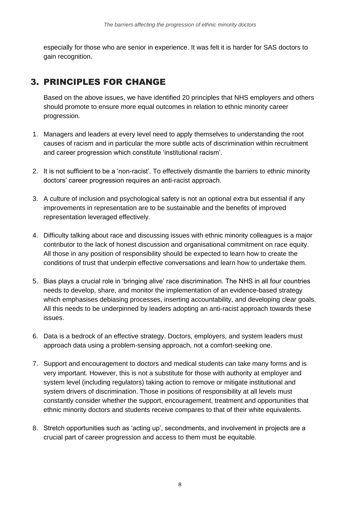especially for those who are senior in experience. It was felt it is harder for SAS doctors to gain recognition.

# 3. PRINCIPLES FOR CHANGE

Based on the above issues, we have identified 20 principles that NHS employers and others should promote to ensure more equal outcomes in relation to ethnic minority career progression.

- 1. Managers and leaders at every level need to apply themselves to understanding the root causes of racism and in particular the more subtle acts of discrimination within recruitment and career progression which constitute 'institutional racism'.
- 2. It is not sufficient to be a 'non-racist'. To effectively dismantle the barriers to ethnic minority doctors' career progression requires an anti-racist approach.
- 3. A culture of inclusion and psychological safety is not an optional extra but essential if any improvements in representation are to be sustainable and the benefits of improved representation leveraged effectively.
- 4. Difficulty talking about race and discussing issues with ethnic minority colleagues is a major contributor to the lack of honest discussion and organisational commitment on race equity. All those in any position of responsibility should be expected to learn how to create the conditions of trust that underpin effective conversations and learn how to undertake them.
- 5. Bias plays a crucial role in 'bringing alive' race discrimination. The NHS in all four countries needs to develop, share, and monitor the implementation of an evidence-based strategy which emphasises debiasing processes, inserting accountability, and developing clear goals. All this needs to be underpinned by leaders adopting an anti-racist approach towards these issues.
- 6. Data is a bedrock of an effective strategy. Doctors, employers, and system leaders must approach data using a problem-sensing approach, not a comfort-seeking one.
- 7. Support and encouragement to doctors and medical students can take many forms and is very important. However, this is not a substitute for those with authority at employer and system level (including regulators) taking action to remove or mitigate institutional and system drivers of discrimination. Those in positions of responsibility at all levels must constantly consider whether the support, encouragement, treatment and opportunities that ethnic minority doctors and students receive compares to that of their white equivalents.
- 8. Stretch opportunities such as 'acting up', secondments, and involvement in projects are a crucial part of career progression and access to them must be equitable.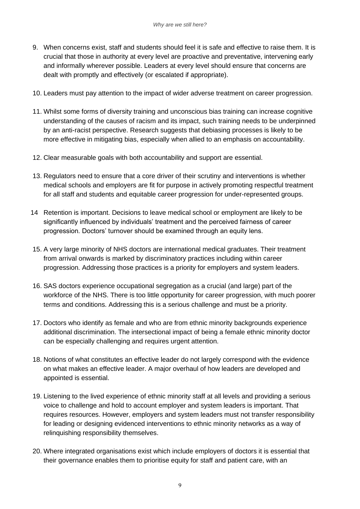- 9. When concerns exist, staff and students should feel it is safe and effective to raise them. It is crucial that those in authority at every level are proactive and preventative, intervening early and informally wherever possible. Leaders at every level should ensure that concerns are dealt with promptly and effectively (or escalated if appropriate).
- 10. Leaders must pay attention to the impact of wider adverse treatment on career progression.
- 11. Whilst some forms of diversity training and unconscious bias training can increase cognitive understanding of the causes of racism and its impact, such training needs to be underpinned by an anti-racist perspective. Research suggests that debiasing processes is likely to be more effective in mitigating bias, especially when allied to an emphasis on accountability.
- 12. Clear measurable goals with both accountability and support are essential.
- 13. Regulators need to ensure that a core driver of their scrutiny and interventions is whether medical schools and employers are fit for purpose in actively promoting respectful treatment for all staff and students and equitable career progression for under-represented groups.
- 14 Retention is important. Decisions to leave medical school or employment are likely to be significantly influenced by individuals' treatment and the perceived fairness of career progression. Doctors' turnover should be examined through an equity lens.
- 15. A very large minority of NHS doctors are international medical graduates. Their treatment from arrival onwards is marked by discriminatory practices including within career progression. Addressing those practices is a priority for employers and system leaders.
- 16. SAS doctors experience occupational segregation as a crucial (and large) part of the workforce of the NHS. There is too little opportunity for career progression, with much poorer terms and conditions. Addressing this is a serious challenge and must be a priority.
- 17. Doctors who identify as female and who are from ethnic minority backgrounds experience additional discrimination. The intersectional impact of being a female ethnic minority doctor can be especially challenging and requires urgent attention.
- 18. Notions of what constitutes an effective leader do not largely correspond with the evidence on what makes an effective leader. A major overhaul of how leaders are developed and appointed is essential.
- 19. Listening to the lived experience of ethnic minority staff at all levels and providing a serious voice to challenge and hold to account employer and system leaders is important. That requires resources. However, employers and system leaders must not transfer responsibility for leading or designing evidenced interventions to ethnic minority networks as a way of relinquishing responsibility themselves.
- 20. Where integrated organisations exist which include employers of doctors it is essential that their governance enables them to prioritise equity for staff and patient care, with an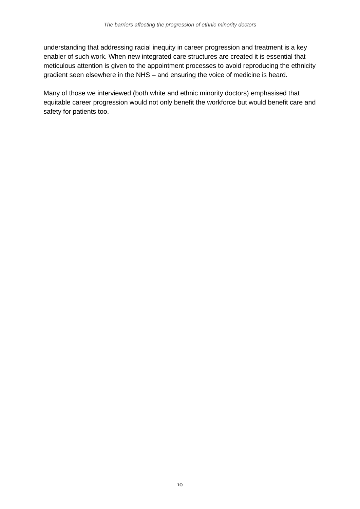understanding that addressing racial inequity in career progression and treatment is a key enabler of such work. When new integrated care structures are created it is essential that meticulous attention is given to the appointment processes to avoid reproducing the ethnicity gradient seen elsewhere in the NHS – and ensuring the voice of medicine is heard.

Many of those we interviewed (both white and ethnic minority doctors) emphasised that equitable career progression would not only benefit the workforce but would benefit care and safety for patients too.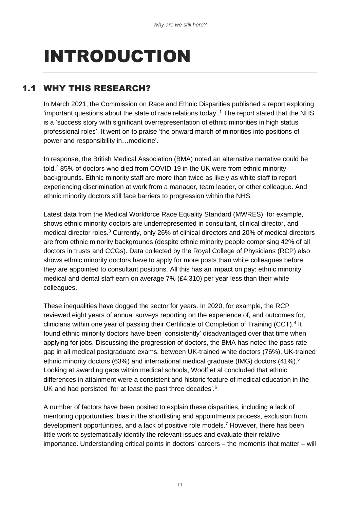# <span id="page-10-0"></span>INTRODUCTION

# <span id="page-10-1"></span>1.1 WHY THIS RESEARCH?

In March 2021, the Commission on Race and Ethnic Disparities published a report exploring 'important questions about the state of race relations today'. <sup>1</sup> The report stated that the NHS is a 'success story with significant overrepresentation of ethnic minorities in high status professional roles'. It went on to praise 'the onward march of minorities into positions of power and responsibility in…medicine'.

In response, the British Medical Association (BMA) noted an alternative narrative could be told. <sup>2</sup> 85% of doctors who died from COVID-19 in the UK were from ethnic minority backgrounds. Ethnic minority staff are more than twice as likely as white staff to report experiencing discrimination at work from a manager, team leader, or other colleague. And ethnic minority doctors still face barriers to progression within the NHS.

Latest data from the Medical Workforce Race Equality Standard (MWRES), for example, shows ethnic minority doctors are underrepresented in consultant, clinical director, and medical director roles.<sup>3</sup> Currently, only 26% of clinical directors and 20% of medical directors are from ethnic minority backgrounds (despite ethnic minority people comprising 42% of all doctors in trusts and CCGs). Data collected by the Royal College of Physicians (RCP) also shows ethnic minority doctors have to apply for more posts than white colleagues before they are appointed to consultant positions. All this has an impact on pay: ethnic minority medical and dental staff earn on average 7% (£4,310) per year less than their white colleagues.

These inequalities have dogged the sector for years. In 2020, for example, the RCP reviewed eight years of annual surveys reporting on the experience of, and outcomes for, clinicians within one year of passing their Certificate of Completion of Training (CCT).<sup>4</sup> It found ethnic minority doctors have been 'consistently' disadvantaged over that time when applying for jobs. Discussing the progression of doctors, the BMA has noted the pass rate gap in all medical postgraduate exams, between UK-trained white doctors (76%), UK-trained ethnic minority doctors (63%) and international medical graduate (IMG) doctors (41%).<sup>5</sup> Looking at awarding gaps within medical schools, Woolf et al concluded that ethnic differences in attainment were a consistent and historic feature of medical education in the UK and had persisted 'for at least the past three decades'.<sup>6</sup>

A number of factors have been posited to explain these disparities, including a lack of mentoring opportunities, bias in the shortlisting and appointments process, exclusion from development opportunities, and a lack of positive role models.<sup>7</sup> However, there has been little work to systematically identify the relevant issues and evaluate their relative importance. Understanding critical points in doctors' careers – the moments that matter – will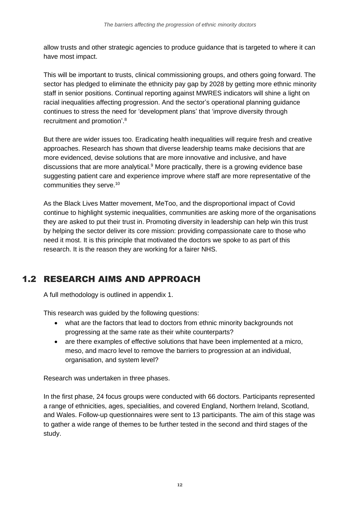allow trusts and other strategic agencies to produce guidance that is targeted to where it can have most impact.

This will be important to trusts, clinical commissioning groups, and others going forward. The sector has pledged to eliminate the ethnicity pay gap by 2028 by getting more ethnic minority staff in senior positions. Continual reporting against MWRES indicators will shine a light on racial inequalities affecting progression. And the sector's operational planning guidance continues to stress the need for 'development plans' that 'improve diversity through recruitment and promotion'. 8

But there are wider issues too. Eradicating health inequalities will require fresh and creative approaches. Research has shown that diverse leadership teams make decisions that are more evidenced, devise solutions that are more innovative and inclusive, and have discussions that are more analytical.<sup>9</sup> More practically, there is a growing evidence base suggesting patient care and experience improve where staff are more representative of the communities they serve.<sup>10</sup>

As the Black Lives Matter movement, MeToo, and the disproportional impact of Covid continue to highlight systemic inequalities, communities are asking more of the organisations they are asked to put their trust in. Promoting diversity in leadership can help win this trust by helping the sector deliver its core mission: providing compassionate care to those who need it most. It is this principle that motivated the doctors we spoke to as part of this research. It is the reason they are working for a fairer NHS.

# <span id="page-11-0"></span>1.2 RESEARCH AIMS AND APPROACH

A full methodology is outlined in appendix 1.

This research was guided by the following questions:

- what are the factors that lead to doctors from ethnic minority backgrounds not progressing at the same rate as their white counterparts?
- are there examples of effective solutions that have been implemented at a micro, meso, and macro level to remove the barriers to progression at an individual, organisation, and system level?

Research was undertaken in three phases.

In the first phase, 24 focus groups were conducted with 66 doctors. Participants represented a range of ethnicities, ages, specialities, and covered England, Northern Ireland, Scotland, and Wales. Follow-up questionnaires were sent to 13 participants. The aim of this stage was to gather a wide range of themes to be further tested in the second and third stages of the study.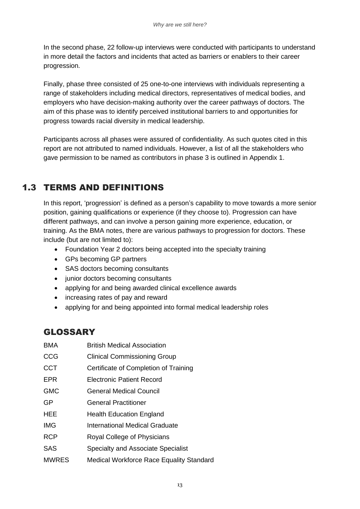In the second phase, 22 follow-up interviews were conducted with participants to understand in more detail the factors and incidents that acted as barriers or enablers to their career progression.

Finally, phase three consisted of 25 one-to-one interviews with individuals representing a range of stakeholders including medical directors, representatives of medical bodies, and employers who have decision-making authority over the career pathways of doctors. The aim of this phase was to identify perceived institutional barriers to and opportunities for progress towards racial diversity in medical leadership.

Participants across all phases were assured of confidentiality. As such quotes cited in this report are not attributed to named individuals. However, a list of all the stakeholders who gave permission to be named as contributors in phase 3 is outlined in Appendix 1.

# <span id="page-12-0"></span>1.3 TERMS AND DEFINITIONS

In this report, 'progression' is defined as a person's capability to move towards a more senior position, gaining qualifications or experience (if they choose to). Progression can have different pathways, and can involve a person gaining more experience, education, or training. As the BMA notes, there are various pathways to progression for doctors. These include (but are not limited to):

- Foundation Year 2 doctors being accepted into the specialty training
- GPs becoming GP partners
- SAS doctors becoming consultants
- junior doctors becoming consultants
- applying for and being awarded clinical excellence awards
- increasing rates of pay and reward
- applying for and being appointed into formal medical leadership roles

# GLOSSARY

- BMA British Medical Association
- CCG Clinical Commissioning Group
- CCT Certificate of Completion of Training
- EPR Electronic Patient Record
- GMC General Medical Council
- GP General Practitioner
- HEE **Health Education England**
- **IMG** International Medical Graduate
- RCP Royal College of Physicians
- SAS Specialty and Associate Specialist
- MWRES Medical Workforce Race Equality Standard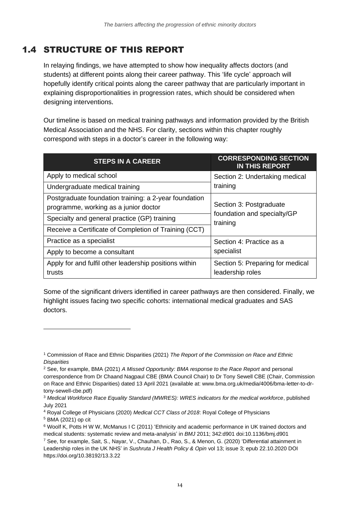# <span id="page-13-0"></span>1.4 STRUCTURE OF THIS REPORT

In relaying findings, we have attempted to show how inequality affects doctors (and students) at different points along their career pathway. This 'life cycle' approach will hopefully identify critical points along the career pathway that are particularly important in explaining disproportionalities in progression rates, which should be considered when designing interventions.

Our timeline is based on medical training pathways and information provided by the British Medical Association and the NHS. For clarity, sections within this chapter roughly correspond with steps in a doctor's career in the following way:

| <b>STEPS IN A CAREER</b>                                                                       | <b>CORRESPONDING SECTION</b><br><b>IN THIS REPORT</b> |  |
|------------------------------------------------------------------------------------------------|-------------------------------------------------------|--|
| Apply to medical school                                                                        | Section 2: Undertaking medical<br>training            |  |
| Undergraduate medical training                                                                 |                                                       |  |
| Postgraduate foundation training: a 2-year foundation<br>programme, working as a junior doctor | Section 3: Postgraduate                               |  |
| Specialty and general practice (GP) training                                                   | foundation and specialty/GP<br>training               |  |
| Receive a Certificate of Completion of Training (CCT)                                          |                                                       |  |
| Practice as a specialist                                                                       | Section 4: Practice as a<br>specialist                |  |
| Apply to become a consultant                                                                   |                                                       |  |
| Apply for and fulfil other leadership positions within<br>trusts                               | Section 5: Preparing for medical<br>leadership roles  |  |

Some of the significant drivers identified in career pathways are then considered. Finally, we highlight issues facing two specific cohorts: international medical graduates and SAS doctors.

<sup>1</sup> Commission of Race and Ethnic Disparities (2021) *The Report of the Commission on Race and Ethnic Disparities*

<sup>2</sup> See, for example, BMA (2021) *A Missed Opportunity: BMA response to the Race Report* and personal correspondence from Dr Chaand Nagpaul CBE (BMA Council Chair) to Dr Tony Sewell CBE (Chair, Commission on Race and Ethnic Disparities) dated 13 April 2021 (available at: www.bma.org.uk/media/4006/bma-letter-to-drtony-sewell-cbe.pdf)

<sup>3</sup> *Medical Workforce Race Equality Standard (MWRES): WRES indicators for the medical workforce*, published July 2021

<sup>4</sup> Royal College of Physicians (2020) *Medical CCT Class of 2018*: Royal College of Physicians

<sup>5</sup> BMA (2021) op cit

<sup>6</sup> Woolf K, Potts H W W, McManus I C (2011) 'Ethnicity and academic performance in UK trained doctors and medical students: systematic review and meta-analysis' in *BMJ* 2011; 342:d901 doi:10.1136/bmj.d901

<sup>7</sup> See, for example, Sait, S., Nayar, V., Chauhan, D., Rao, S., & Menon, G. (2020) 'Differential attainment in Leadership roles in the UK NHS' in *Sushruta J Health Policy & Opin* vol 13; issue 3; epub 22.10.2020 DOI https://doi.org/10.38192/13.3.22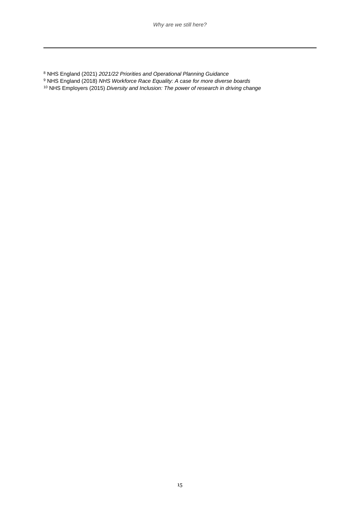NHS England (2021) *2021/22 Priorities and Operational Planning Guidance*

- NHS England (2018) *NHS Workforce Race Equality: A case for more diverse boards*
- NHS Employers (2015) *Diversity and Inclusion: The power of research in driving change*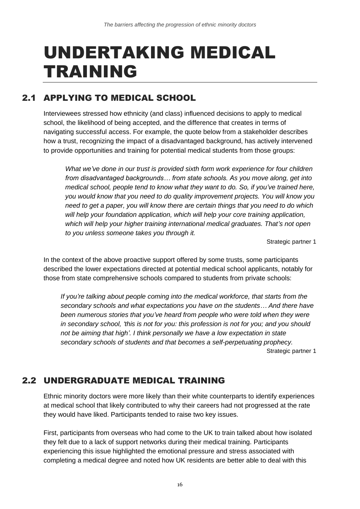# <span id="page-15-0"></span>UNDERTAKING MEDICAL TRAINING

# <span id="page-15-1"></span>2.1 APPLYING TO MEDICAL SCHOOL

Interviewees stressed how ethnicity (and class) influenced decisions to apply to medical school, the likelihood of being accepted, and the difference that creates in terms of navigating successful access. For example, the quote below from a stakeholder describes how a trust, recognizing the impact of a disadvantaged background, has actively intervened to provide opportunities and training for potential medical students from those groups:

*What we've done in our trust is provided sixth form work experience for four children from disadvantaged backgrounds… from state schools. As you move along, get into medical school, people tend to know what they want to do. So, if you've trained here, you would know that you need to do quality improvement projects. You will know you need to get a paper, you will know there are certain things that you need to do which will help your foundation application, which will help your core training application, which will help your higher training international medical graduates. That's not open to you unless someone takes you through it.* 

Strategic partner 1

In the context of the above proactive support offered by some trusts, some participants described the lower expectations directed at potential medical school applicants, notably for those from state comprehensive schools compared to students from private schools:

*If you're talking about people coming into the medical workforce, that starts from the secondary schools and what expectations you have on the students… And there have been numerous stories that you've heard from people who were told when they were in secondary school, 'this is not for you: this profession is not for you; and you should not be aiming that high'. I think personally we have a low expectation in state secondary schools of students and that becomes a self-perpetuating prophecy.* Strategic partner 1

## <span id="page-15-2"></span>2.2 UNDERGRADUATE MEDICAL TRAINING

Ethnic minority doctors were more likely than their white counterparts to identify experiences at medical school that likely contributed to why their careers had not progressed at the rate they would have liked. Participants tended to raise two key issues.

First, participants from overseas who had come to the UK to train talked about how isolated they felt due to a lack of support networks during their medical training. Participants experiencing this issue highlighted the emotional pressure and stress associated with completing a medical degree and noted how UK residents are better able to deal with this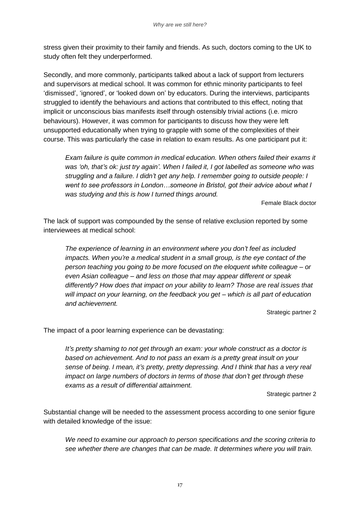stress given their proximity to their family and friends. As such, doctors coming to the UK to study often felt they underperformed.

Secondly, and more commonly, participants talked about a lack of support from lecturers and supervisors at medical school. It was common for ethnic minority participants to feel 'dismissed', 'ignored', or 'looked down on' by educators. During the interviews, participants struggled to identify the behaviours and actions that contributed to this effect, noting that implicit or unconscious bias manifests itself through ostensibly trivial actions (i.e. micro behaviours). However, it was common for participants to discuss how they were left unsupported educationally when trying to grapple with some of the complexities of their course. This was particularly the case in relation to exam results. As one participant put it:

*Exam failure is quite common in medical education. When others failed their exams it was 'oh, that's ok: just try again'. When I failed it, I got labelled as someone who was struggling and a failure. I didn't get any help. I remember going to outside people: I went to see professors in London…someone in Bristol, got their advice about what I was studying and this is how I turned things around.* 

Female Black doctor

The lack of support was compounded by the sense of relative exclusion reported by some interviewees at medical school:

*The experience of learning in an environment where you don't feel as included impacts. When you're a medical student in a small group, is the eye contact of the person teaching you going to be more focused on the eloquent white colleague – or even Asian colleague – and less on those that may appear different or speak differently? How does that impact on your ability to learn? Those are real issues that will impact on your learning, on the feedback you get – which is all part of education and achievement.*

Strategic partner 2

The impact of a poor learning experience can be devastating:

*It's pretty shaming to not get through an exam: your whole construct as a doctor is based on achievement. And to not pass an exam is a pretty great insult on your sense of being. I mean, it's pretty, pretty depressing. And I think that has a very real impact on large numbers of doctors in terms of those that don't get through these exams as a result of differential attainment.*

Strategic partner 2

Substantial change will be needed to the assessment process according to one senior figure with detailed knowledge of the issue:

*We need to examine our approach to person specifications and the scoring criteria to see whether there are changes that can be made. It determines where you will train.*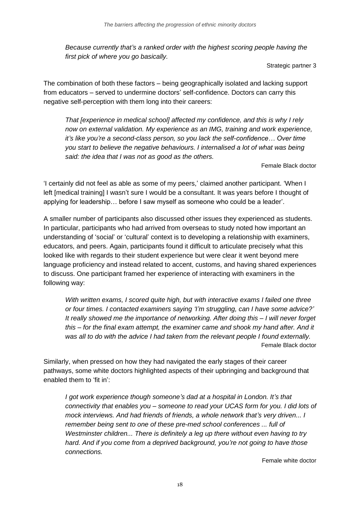*Because currently that's a ranked order with the highest scoring people having the first pick of where you go basically.*

Strategic partner 3

The combination of both these factors – being geographically isolated and lacking support from educators – served to undermine doctors' self-confidence. Doctors can carry this negative self-perception with them long into their careers:

*That [experience in medical school] affected my confidence, and this is why I rely now on external validation. My experience as an IMG, training and work experience, it's like you're a second-class person, so you lack the self-confidence... Over time you start to believe the negative behaviours. I internalised a lot of what was being said: the idea that I was not as good as the others.*

Female Black doctor

'I certainly did not feel as able as some of my peers,' claimed another participant. 'When I left [medical training] I wasn't sure I would be a consultant. It was years before I thought of applying for leadership… before I saw myself as someone who could be a leader'.

A smaller number of participants also discussed other issues they experienced as students. In particular, participants who had arrived from overseas to study noted how important an understanding of 'social' or 'cultural' context is to developing a relationship with examiners, educators, and peers. Again, participants found it difficult to articulate precisely what this looked like with regards to their student experience but were clear it went beyond mere language proficiency and instead related to accent, customs, and having shared experiences to discuss. One participant framed her experience of interacting with examiners in the following way:

*With written exams, I scored quite high, but with interactive exams I failed one three or four times. I contacted examiners saying 'I'm struggling, can I have some advice?' It really showed me the importance of networking. After doing this – I will never forget this – for the final exam attempt, the examiner came and shook my hand after. And it was all to do with the advice I had taken from the relevant people I found externally.*  Female Black doctor

Similarly, when pressed on how they had navigated the early stages of their career pathways, some white doctors highlighted aspects of their upbringing and background that enabled them to 'fit in':

*I got work experience though someone's dad at a hospital in London. It's that connectivity that enables you – someone to read your UCAS form for you. I did lots of mock interviews. And had friends of friends, a whole network that's very driven... I remember being sent to one of these pre-med school conferences ... full of Westminster children... There is definitely a leg up there without even having to try hard. And if you come from a deprived background, you're not going to have those connections.*

Female white doctor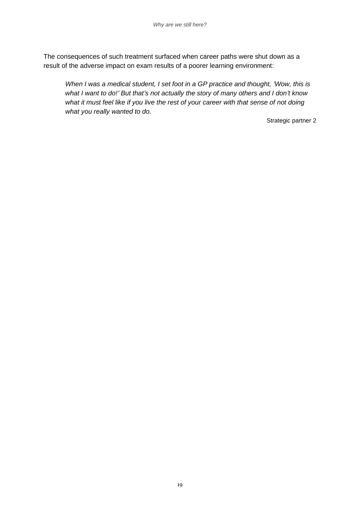The consequences of such treatment surfaced when career paths were shut down as a result of the adverse impact on exam results of a poorer learning environment:

*When I was a medical student, I set foot in a GP practice and thought, 'Wow, this is what I want to do!' But that's not actually the story of many others and I don't know what it must feel like if you live the rest of your career with that sense of not doing what you really wanted to do.*

Strategic partner 2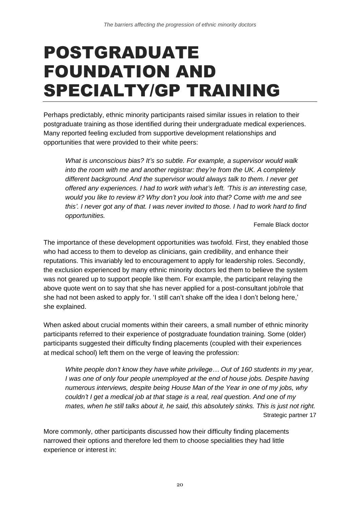# <span id="page-19-0"></span>POSTGRADUATE FOUNDATION AND SPECIALTY/GP TRAINING

Perhaps predictably, ethnic minority participants raised similar issues in relation to their postgraduate training as those identified during their undergraduate medical experiences. Many reported feeling excluded from supportive development relationships and opportunities that were provided to their white peers:

*What is unconscious bias? It's so subtle. For example, a supervisor would walk into the room with me and another registrar: they're from the UK. A completely different background. And the supervisor would always talk to them. I never get offered any experiences. I had to work with what's left. 'This is an interesting case, would you like to review it? Why don't you look into that? Come with me and see this'. I never got any of that. I was never invited to those. I had to work hard to find opportunities.*

Female Black doctor

The importance of these development opportunities was twofold. First, they enabled those who had access to them to develop as clinicians, gain credibility, and enhance their reputations. This invariably led to encouragement to apply for leadership roles. Secondly, the exclusion experienced by many ethnic minority doctors led them to believe the system was not geared up to support people like them. For example, the participant relaying the above quote went on to say that she has never applied for a post-consultant job/role that she had not been asked to apply for. 'I still can't shake off the idea I don't belong here,' she explained.

When asked about crucial moments within their careers, a small number of ethnic minority participants referred to their experience of postgraduate foundation training. Some (older) participants suggested their difficulty finding placements (coupled with their experiences at medical school) left them on the verge of leaving the profession:

*White people don't know they have white privilege… Out of 160 students in my year, I* was one of only four people unemployed at the end of house jobs. Despite having *numerous interviews, despite being House Man of the Year in one of my jobs, why couldn't I get a medical job at that stage is a real, real question. And one of my mates, when he still talks about it, he said, this absolutely stinks. This is just not right.*  Strategic partner 17

More commonly, other participants discussed how their difficulty finding placements narrowed their options and therefore led them to choose specialities they had little experience or interest in: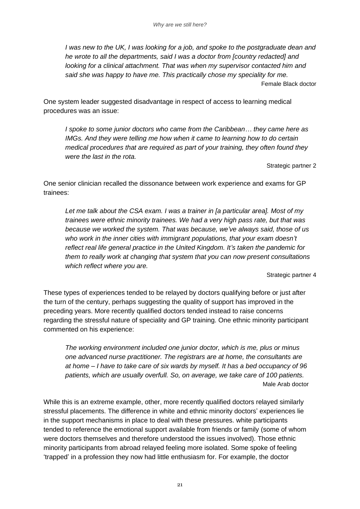*I was new to the UK, I was looking for a job, and spoke to the postgraduate dean and he wrote to all the departments, said I was a doctor from [country redacted] and looking for a clinical attachment. That was when my supervisor contacted him and said she was happy to have me. This practically chose my speciality for me.*  Female Black doctor

One system leader suggested disadvantage in respect of access to learning medical procedures was an issue:

*I spoke to some junior doctors who came from the Caribbean… they came here as IMGs. And they were telling me how when it came to learning how to do certain medical procedures that are required as part of your training, they often found they were the last in the rota.*

Strategic partner 2

One senior clinician recalled the dissonance between work experience and exams for GP trainees:

*Let me talk about the CSA exam. I was a trainer in [a particular area]. Most of my trainees were ethnic minority trainees. We had a very high pass rate, but that was because we worked the system. That was because, we've always said, those of us*  who work in the inner cities with immigrant populations, that your exam doesn't *reflect real life general practice in the United Kingdom. It's taken the pandemic for them to really work at changing that system that you can now present consultations which reflect where you are.*

Strategic partner 4

These types of experiences tended to be relayed by doctors qualifying before or just after the turn of the century, perhaps suggesting the quality of support has improved in the preceding years. More recently qualified doctors tended instead to raise concerns regarding the stressful nature of speciality and GP training. One ethnic minority participant commented on his experience:

*The working environment included one junior doctor, which is me, plus or minus one advanced nurse practitioner. The registrars are at home, the consultants are at home – I have to take care of six wards by myself. It has a bed occupancy of 96 patients, which are usually overfull. So, on average, we take care of 100 patients.* Male Arab doctor

While this is an extreme example, other, more recently qualified doctors relayed similarly stressful placements. The difference in white and ethnic minority doctors' experiences lie in the support mechanisms in place to deal with these pressures. white participants tended to reference the emotional support available from friends or family (some of whom were doctors themselves and therefore understood the issues involved). Those ethnic minority participants from abroad relayed feeling more isolated. Some spoke of feeling 'trapped' in a profession they now had little enthusiasm for. For example, the doctor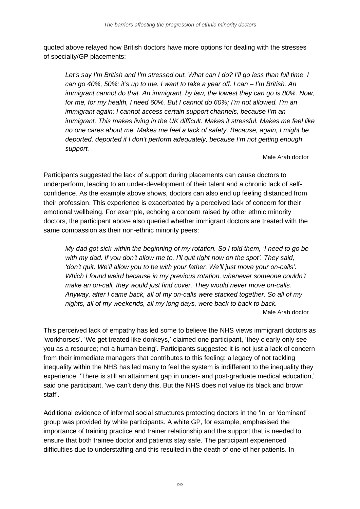quoted above relayed how British doctors have more options for dealing with the stresses of specialty/GP placements:

*Let's say I'm British and I'm stressed out. What can I do? I'll go less than full time. I can go 40%, 50%: it's up to me. I want to take a year off. I can – I'm British. An immigrant cannot do that. An immigrant, by law, the lowest they can go is 80%. Now, for me, for my health, I need 60%. But I cannot do 60%; I'm not allowed. I'm an immigrant again: I cannot access certain support channels, because I'm an immigrant. This makes living in the UK difficult. Makes it stressful. Makes me feel like no one cares about me. Makes me feel a lack of safety. Because, again, I might be deported, deported if I don't perform adequately, because I'm not getting enough support.* 

#### Male Arab doctor

Participants suggested the lack of support during placements can cause doctors to underperform, leading to an under-development of their talent and a chronic lack of selfconfidence. As the example above shows, doctors can also end up feeling distanced from their profession. This experience is exacerbated by a perceived lack of concern for their emotional wellbeing. For example, echoing a concern raised by other ethnic minority doctors, the participant above also queried whether immigrant doctors are treated with the same compassion as their non-ethnic minority peers:

*My dad got sick within the beginning of my rotation. So I told them, 'I need to go be with my dad. If you don't allow me to, I'll quit right now on the spot'. They said, 'don't quit. We'll allow you to be with your father. We'll just move your on-calls'. Which I found weird because in my previous rotation, whenever someone couldn't make an on-call, they would just find cover. They would never move on-calls. Anyway, after I came back, all of my on-calls were stacked together. So all of my nights, all of my weekends, all my long days, were back to back to back.* Male Arab doctor

This perceived lack of empathy has led some to believe the NHS views immigrant doctors as 'workhorses'. 'We get treated like donkeys,' claimed one participant, 'they clearly only see you as a resource; not a human being'. Participants suggested it is not just a lack of concern from their immediate managers that contributes to this feeling: a legacy of not tackling inequality within the NHS has led many to feel the system is indifferent to the inequality they experience. 'There is still an attainment gap in under- and post-graduate medical education,' said one participant, 'we can't deny this. But the NHS does not value its black and brown staff'.

Additional evidence of informal social structures protecting doctors in the 'in' or 'dominant' group was provided by white participants. A white GP, for example, emphasised the importance of training practice and trainer relationship and the support that is needed to ensure that both trainee doctor and patients stay safe. The participant experienced difficulties due to understaffing and this resulted in the death of one of her patients. In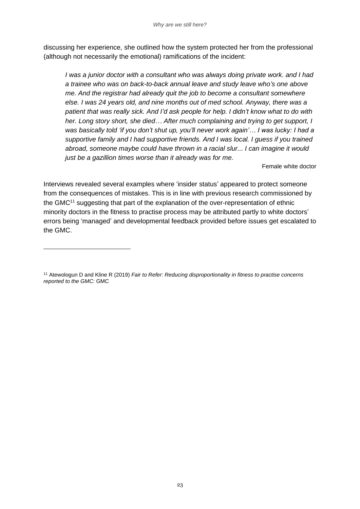discussing her experience, she outlined how the system protected her from the professional (although not necessarily the emotional) ramifications of the incident:

*I was a junior doctor with a consultant who was always doing private work. and I had a trainee who was on back-to-back annual leave and study leave who's one above me. And the registrar had already quit the job to become a consultant somewhere else. I was 24 years old, and nine months out of med school. Anyway, there was a patient that was really sick. And I'd ask people for help. I didn't know what to do with her. Long story short, she died… After much complaining and trying to get support, I was basically told 'if you don't shut up, you'll never work again'… I was lucky: I had a supportive family and I had supportive friends. And I was local. I guess if you trained abroad, someone maybe could have thrown in a racial slur... I can imagine it would just be a gazillion times worse than it already was for me.*

#### Female white doctor

Interviews revealed several examples where 'insider status' appeared to protect someone from the consequences of mistakes. This is in line with previous research commissioned by the GMC<sup>11</sup> suggesting that part of the explanation of the over-representation of ethnic minority doctors in the fitness to practise process may be attributed partly to white doctors' errors being 'managed' and developmental feedback provided before issues get escalated to the GMC.

<sup>11</sup> Atewologun D and Kline R (2019) *Fair to Refer: Reducing disproportionality in fitness to practise concerns reported to the GMC:* GMC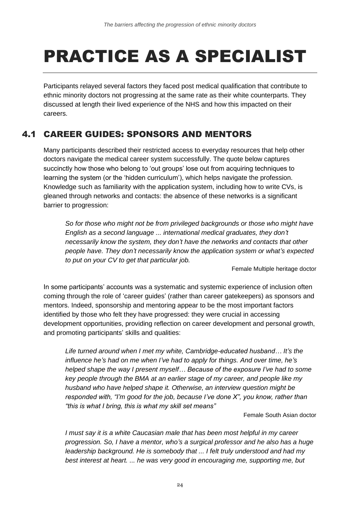# <span id="page-23-0"></span>PRACTICE AS A SPECIALIST

Participants relayed several factors they faced post medical qualification that contribute to ethnic minority doctors not progressing at the same rate as their white counterparts. They discussed at length their lived experience of the NHS and how this impacted on their careers.

# <span id="page-23-1"></span>4.1 CAREER GUIDES: SPONSORS AND MENTORS

Many participants described their restricted access to everyday resources that help other doctors navigate the medical career system successfully. The quote below captures succinctly how those who belong to 'out groups' lose out from acquiring techniques to learning the system (or the 'hidden curriculum'), which helps navigate the profession. Knowledge such as familiarity with the application system, including how to write CVs, is gleaned through networks and contacts: the absence of these networks is a significant barrier to progression:

*So for those who might not be from privileged backgrounds or those who might have English as a second language ... international medical graduates, they don't necessarily know the system, they don't have the networks and contacts that other people have. They don't necessarily know the application system or what's expected to put on your CV to get that particular job.*

Female Multiple heritage doctor

In some participants' accounts was a systematic and systemic experience of inclusion often coming through the role of 'career guides' (rather than career gatekeepers) as sponsors and mentors. Indeed, sponsorship and mentoring appear to be the most important factors identified by those who felt they have progressed: they were crucial in accessing development opportunities, providing reflection on career development and personal growth, and promoting participants' skills and qualities:

*Life turned around when I met my white, Cambridge-educated husband… It's the influence he's had on me when I've had to apply for things. And over time, he's helped shape the way I present myself… Because of the exposure I've had to some key people through the BMA at an earlier stage of my career, and people like my husband who have helped shape it. Otherwise, an interview question might be responded with, "I'm good for the job, because I've done X", you know, rather than "this is what I bring, this is what my skill set means"*

#### Female South Asian doctor

*I must say it is a white Caucasian male that has been most helpful in my career progression. So, I have a mentor, who's a surgical professor and he also has a huge leadership background. He is somebody that ... I felt truly understood and had my best interest at heart. ... he was very good in encouraging me, supporting me, but*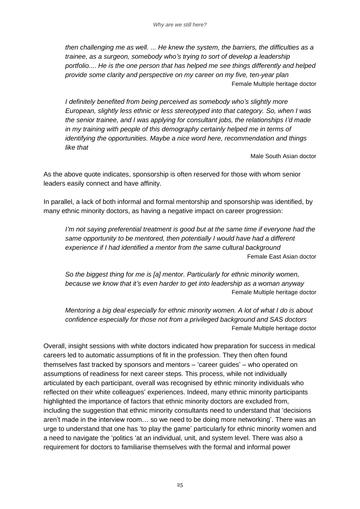*then challenging me as well. ... He knew the system, the barriers, the difficulties as a trainee, as a surgeon, somebody who's trying to sort of develop a leadership portfolio.... He is the one person that has helped me see things differently and helped provide some clarity and perspective on my career on my five, ten-year plan* Female Multiple heritage doctor

*I definitely benefited from being perceived as somebody who's slightly more European, slightly less ethnic or less stereotyped into that category. So, when I was the senior trainee, and I was applying for consultant jobs, the relationships I'd made in my training with people of this demography certainly helped me in terms of identifying the opportunities. Maybe a nice word here, recommendation and things like that*

Male South Asian doctor

As the above quote indicates, sponsorship is often reserved for those with whom senior leaders easily connect and have affinity.

In parallel, a lack of both informal and formal mentorship and sponsorship was identified, by many ethnic minority doctors, as having a negative impact on career progression:

*I'm not saying preferential treatment is good but at the same time if everyone had the same opportunity to be mentored, then potentially I would have had a different experience if I had identified a mentor from the same cultural background* Female East Asian doctor

*So the biggest thing for me is [a] mentor. Particularly for ethnic minority women, because we know that it's even harder to get into leadership as a woman anyway*  Female Multiple heritage doctor

*Mentoring a big deal especially for ethnic minority women. A lot of what I do is about confidence especially for those not from a privileged background and SAS doctors* Female Multiple heritage doctor

Overall, insight sessions with white doctors indicated how preparation for success in medical careers led to automatic assumptions of fit in the profession. They then often found themselves fast tracked by sponsors and mentors – 'career guides' – who operated on assumptions of readiness for next career steps. This process, while not individually articulated by each participant, overall was recognised by ethnic minority individuals who reflected on their white colleagues' experiences. Indeed, many ethnic minority participants highlighted the importance of factors that ethnic minority doctors are excluded from, including the suggestion that ethnic minority consultants need to understand that 'decisions aren't made in the interview room… so we need to be doing more networking'. There was an urge to understand that one has 'to play the game' particularly for ethnic minority women and a need to navigate the 'politics 'at an individual, unit, and system level. There was also a requirement for doctors to familiarise themselves with the formal and informal power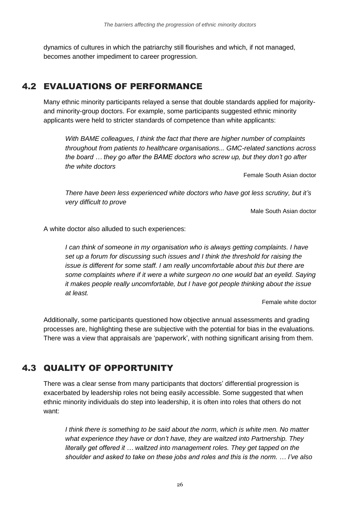dynamics of cultures in which the patriarchy still flourishes and which, if not managed, becomes another impediment to career progression.

## <span id="page-25-0"></span>4.2 EVALUATIONS OF PERFORMANCE

Many ethnic minority participants relayed a sense that double standards applied for majorityand minority-group doctors. For example, some participants suggested ethnic minority applicants were held to stricter standards of competence than white applicants:

*With BAME colleagues, I think the fact that there are higher number of complaints throughout from patients to healthcare organisations... GMC-related sanctions across the board … they go after the BAME doctors who screw up, but they don't go after the white doctors*

Female South Asian doctor

*There have been less experienced white doctors who have got less scrutiny, but it's very difficult to prove* 

Male South Asian doctor

A white doctor also alluded to such experiences:

*I can think of someone in my organisation who is always getting complaints. I have set up a forum for discussing such issues and I think the threshold for raising the issue is different for some staff. I am really uncomfortable about this but there are some complaints where if it were a white surgeon no one would bat an eyelid. Saying it makes people really uncomfortable, but I have got people thinking about the issue at least.*

Female white doctor

Additionally, some participants questioned how objective annual assessments and grading processes are, highlighting these are subjective with the potential for bias in the evaluations. There was a view that appraisals are 'paperwork', with nothing significant arising from them.

# <span id="page-25-1"></span>4.3 QUALITY OF OPPORTUNITY

There was a clear sense from many participants that doctors' differential progression is exacerbated by leadership roles not being easily accessible. Some suggested that when ethnic minority individuals do step into leadership, it is often into roles that others do not want:

*I think there is something to be said about the norm, which is white men. No matter what experience they have or don't have, they are waltzed into Partnership. They literally get offered it … waltzed into management roles. They get tapped on the shoulder and asked to take on these jobs and roles and this is the norm. … I've also*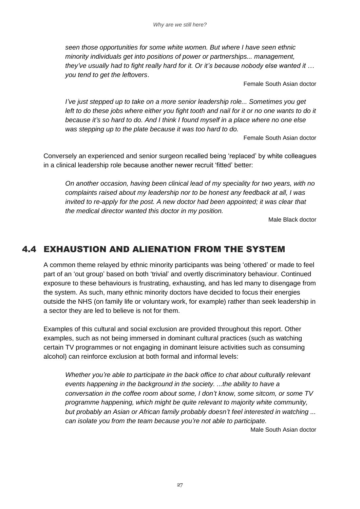*seen those opportunities for some white women. But where I have seen ethnic minority individuals get into positions of power or partnerships... management, they've usually had to fight really hard for it. Or it's because nobody else wanted it … you tend to get the leftovers*.

Female South Asian doctor

*I've just stepped up to take on a more senior leadership role... Sometimes you get left to do these jobs where either you fight tooth and nail for it or no one wants to do it because it's so hard to do. And I think I found myself in a place where no one else was stepping up to the plate because it was too hard to do.*

Female South Asian doctor

Conversely an experienced and senior surgeon recalled being 'replaced' by white colleagues in a clinical leadership role because another newer recruit 'fitted' better:

*On another occasion, having been clinical lead of my speciality for two years, with no complaints raised about my leadership nor to be honest any feedback at all, I was invited to re-apply for the post. A new doctor had been appointed; it was clear that the medical director wanted this doctor in my position.*

Male Black doctor

### <span id="page-26-0"></span>4.4 EXHAUSTION AND ALIENATION FROM THE SYSTEM

A common theme relayed by ethnic minority participants was being 'othered' or made to feel part of an 'out group' based on both 'trivial' and overtly discriminatory behaviour. Continued exposure to these behaviours is frustrating, exhausting, and has led many to disengage from the system. As such, many ethnic minority doctors have decided to focus their energies outside the NHS (on family life or voluntary work, for example) rather than seek leadership in a sector they are led to believe is not for them.

Examples of this cultural and social exclusion are provided throughout this report. Other examples, such as not being immersed in dominant cultural practices (such as watching certain TV programmes or not engaging in dominant leisure activities such as consuming alcohol) can reinforce exclusion at both formal and informal levels:

*Whether you're able to participate in the back office to chat about culturally relevant events happening in the background in the society. ...the ability to have a conversation in the coffee room about some, I don't know, some sitcom, or some TV programme happening, which might be quite relevant to majority white community, but probably an Asian or African family probably doesn't feel interested in watching ... can isolate you from the team because you're not able to participate.*

Male South Asian doctor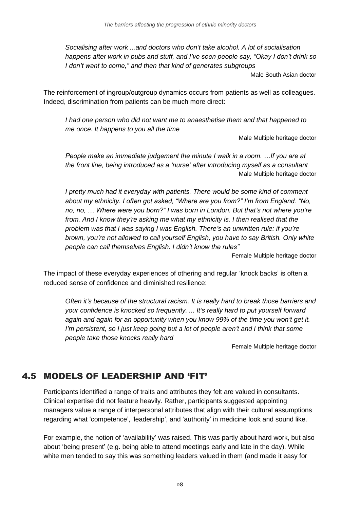*Socialising after work ...and doctors who don't take alcohol. A lot of socialisation happens after work in pubs and stuff, and I've seen people say, "Okay I don't drink so I don't want to come," and then that kind of generates subgroups*

Male South Asian doctor

The reinforcement of ingroup/outgroup dynamics occurs from patients as well as colleagues. Indeed, discrimination from patients can be much more direct:

*I had one person who did not want me to anaesthetise them and that happened to me once. It happens to you all the time*

Male Multiple heritage doctor

*People make an immediate judgement the minute I walk in a room. …If you are at the front line, being introduced as a 'nurse' after introducing myself as a consultant* Male Multiple heritage doctor

*I pretty much had it everyday with patients. There would be some kind of comment about my ethnicity. I often got asked, "Where are you from?" I'm from England. "No, no, no, … Where were you born?" I was born in London. But that's not where you're from. And I know they're asking me what my ethnicity is. I then realised that the problem was that I was saying I was English. There's an unwritten rule: if you're brown, you're not allowed to call yourself English, you have to say British. Only white people can call themselves English. I didn't know the rules"*

Female Multiple heritage doctor

The impact of these everyday experiences of othering and regular 'knock backs' is often a reduced sense of confidence and diminished resilience:

*Often it's because of the structural racism. It is really hard to break those barriers and your confidence is knocked so frequently. ... It's really hard to put yourself forward again and again for an opportunity when you know 99% of the time you won't get it. I'm persistent, so I just keep going but a lot of people aren't and I think that some people take those knocks really hard*

Female Multiple heritage doctor

# <span id="page-27-0"></span>4.5 MODELS OF LEADERSHIP AND 'FIT'

Participants identified a range of traits and attributes they felt are valued in consultants. Clinical expertise did not feature heavily. Rather, participants suggested appointing managers value a range of interpersonal attributes that align with their cultural assumptions regarding what 'competence', 'leadership', and 'authority' in medicine look and sound like.

For example, the notion of 'availability' was raised. This was partly about hard work, but also about 'being present' (e.g. being able to attend meetings early and late in the day). While white men tended to say this was something leaders valued in them (and made it easy for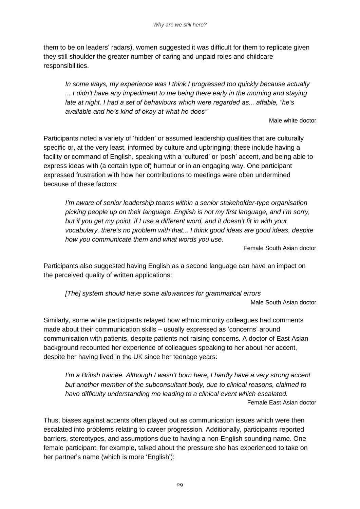them to be on leaders' radars), women suggested it was difficult for them to replicate given they still shoulder the greater number of caring and unpaid roles and childcare responsibilities.

*In some ways, my experience was I think I progressed too quickly because actually ... I didn't have any impediment to me being there early in the morning and staying late at night. I had a set of behaviours which were regarded as... affable, "he's available and he's kind of okay at what he does"*

Male white doctor

Participants noted a variety of 'hidden' or assumed leadership qualities that are culturally specific or, at the very least, informed by culture and upbringing; these include having a facility or command of English, speaking with a 'cultured' or 'posh' accent, and being able to express ideas with (a certain type of) humour or in an engaging way. One participant expressed frustration with how her contributions to meetings were often undermined because of these factors:

*I'm aware of senior leadership teams within a senior stakeholder-type organisation picking people up on their language. English is not my first language, and I'm sorry, but if you get my point, if I use a different word, and it doesn't fit in with your vocabulary, there's no problem with that... I think good ideas are good ideas, despite how you communicate them and what words you use.*

Female South Asian doctor

Participants also suggested having English as a second language can have an impact on the perceived quality of written applications:

*[The] system should have some allowances for grammatical errors* Male South Asian doctor

Similarly, some white participants relayed how ethnic minority colleagues had comments made about their communication skills – usually expressed as 'concerns' around communication with patients, despite patients not raising concerns. A doctor of East Asian background recounted her experience of colleagues speaking to her about her accent, despite her having lived in the UK since her teenage years:

*I'm a British trainee. Although I wasn't born here, I hardly have a very strong accent but another member of the subconsultant body, due to clinical reasons, claimed to have difficulty understanding me leading to a clinical event which escalated.* Female East Asian doctor

Thus, biases against accents often played out as communication issues which were then escalated into problems relating to career progression. Additionally, participants reported barriers, stereotypes, and assumptions due to having a non-English sounding name. One female participant, for example, talked about the pressure she has experienced to take on her partner's name (which is more 'English'):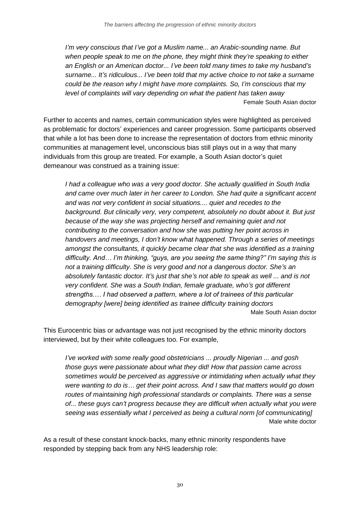*I'm very conscious that I've got a Muslim name... an Arabic-sounding name. But when people speak to me on the phone, they might think they're speaking to either an English or an American doctor... I've been told many times to take my husband's surname... It's ridiculous... I've been told that my active choice to not take a surname could be the reason why I might have more complaints. So, I'm conscious that my level of complaints will vary depending on what the patient has taken away* Female South Asian doctor

Further to accents and names, certain communication styles were highlighted as perceived as problematic for doctors' experiences and career progression. Some participants observed that while a lot has been done to increase the representation of doctors from ethnic minority communities at management level, unconscious bias still plays out in a way that many individuals from this group are treated. For example, a South Asian doctor's quiet demeanour was construed as a training issue:

*I had a colleague who was a very good doctor. She actually qualified in South India and came over much later in her career to London. She had quite a significant accent and was not very confident in social situations.... quiet and recedes to the background. But clinically very, very competent, absolutely no doubt about it. But just because of the way she was projecting herself and remaining quiet and not contributing to the conversation and how she was putting her point across in handovers and meetings, I don't know what happened. Through a series of meetings amongst the consultants, it quickly became clear that she was identified as a training difficulty. And… I'm thinking, "guys, are you seeing the same thing?" I'm saying this is not a training difficulty. She is very good and not a dangerous doctor. She's an absolutely fantastic doctor. It's just that she's not able to speak as well ... and is not very confident. She was a South Indian, female graduate, who's got different strengths.… I had observed a pattern, where a lot of trainees of this particular demography [were] being identified as trainee difficulty training doctors* Male South Asian doctor

This Eurocentric bias or advantage was not just recognised by the ethnic minority doctors interviewed, but by their white colleagues too. For example,

*I've worked with some really good obstetricians ... proudly Nigerian ... and gosh those guys were passionate about what they did! How that passion came across sometimes would be perceived as aggressive or intimidating when actually what they were wanting to do is… get their point across. And I saw that matters would go down routes of maintaining high professional standards or complaints. There was a sense of... these guys can't progress because they are difficult when actually what you were seeing was essentially what I perceived as being a cultural norm [of communicating]* Male white doctor

As a result of these constant knock-backs, many ethnic minority respondents have responded by stepping back from any NHS leadership role: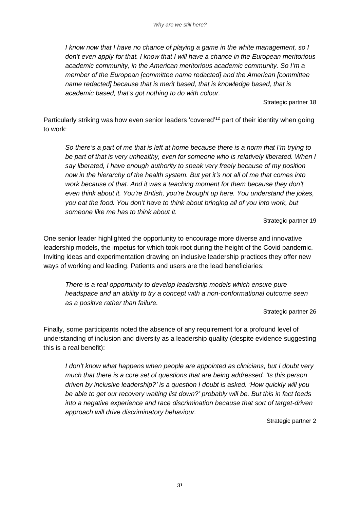*I know now that I have no chance of playing a game in the white management, so I don't even apply for that. I know that I will have a chance in the European meritorious academic community, in the American meritorious academic community. So I'm a member of the European [committee name redacted] and the American [committee name redacted] because that is merit based, that is knowledge based, that is academic based, that's got nothing to do with colour.*

Strategic partner 18

Particularly striking was how even senior leaders 'covered'<sup>12</sup> part of their identity when going to work:

*So there's a part of me that is left at home because there is a norm that I'm trying to be part of that is very unhealthy, even for someone who is relatively liberated. When I say liberated, I have enough authority to speak very freely because of my position now in the hierarchy of the health system. But yet it's not all of me that comes into work because of that. And it was a teaching moment for them because they don't even think about it. You're British, you're brought up here. You understand the jokes, you eat the food. You don't have to think about bringing all of you into work, but someone like me has to think about it.*

Strategic partner 19

One senior leader highlighted the opportunity to encourage more diverse and innovative leadership models, the impetus for which took root during the height of the Covid pandemic. Inviting ideas and experimentation drawing on inclusive leadership practices they offer new ways of working and leading. Patients and users are the lead beneficiaries:

*There is a real opportunity to develop leadership models which ensure pure headspace and an ability to try a concept with a non-conformational outcome seen as a positive rather than failure.*

Strategic partner 26

Finally, some participants noted the absence of any requirement for a profound level of understanding of inclusion and diversity as a leadership quality (despite evidence suggesting this is a real benefit):

*I* don't know what happens when people are appointed as clinicians, but *I* doubt very *much that there is a core set of questions that are being addressed. 'Is this person driven by inclusive leadership?' is a question I doubt is asked. 'How quickly will you be able to get our recovery waiting list down?' probably will be. But this in fact feeds into a negative experience and race discrimination because that sort of target-driven approach will drive discriminatory behaviour.* 

Strategic partner 2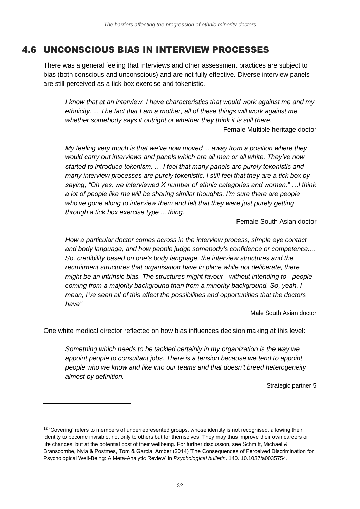# <span id="page-31-0"></span>4.6 UNCONSCIOUS BIAS IN INTERVIEW PROCESSES

There was a general feeling that interviews and other assessment practices are subject to bias (both conscious and unconscious) and are not fully effective. Diverse interview panels are still perceived as a tick box exercise and tokenistic.

*I know that at an interview, I have characteristics that would work against me and my ethnicity. ... The fact that I am a mother, all of these things will work against me whether somebody says it outright or whether they think it is still there.* 

Female Multiple heritage doctor

*My feeling very much is that we've now moved ... away from a position where they would carry out interviews and panels which are all men or all white. They've now started to introduce tokenism. … I feel that many panels are purely tokenistic and many interview processes are purely tokenistic. I still feel that they are a tick box by saying, "Oh yes, we interviewed X number of ethnic categories and women." …I think a lot of people like me will be sharing similar thoughts, I'm sure there are people who've gone along to interview them and felt that they were just purely getting through a tick box exercise type ... thing.*

Female South Asian doctor

*How a particular doctor comes across in the interview process, simple eye contact and body language, and how people judge somebody's confidence or competence.... So, credibility based on one's body language, the interview structures and the recruitment structures that organisation have in place while not deliberate, there might be an intrinsic bias. The structures might favour - without intending to - people coming from a majority background than from a minority background. So, yeah, I mean, I've seen all of this affect the possibilities and opportunities that the doctors have"* 

Male South Asian doctor

One white medical director reflected on how bias influences decision making at this level:

*Something which needs to be tackled certainly in my organization is the way we appoint people to consultant jobs. There is a tension because we tend to appoint people who we know and like into our teams and that doesn't breed heterogeneity almost by definition.* 

Strategic partner 5

<sup>&</sup>lt;sup>12</sup> 'Covering' refers to members of underrepresented groups, whose identity is not recognised, allowing their identity to become invisible, not only to others but for themselves. They may thus improve their own careers or life chances, but at the potential cost of their wellbeing. For further discussion, see Schmitt, Michael & Branscombe, Nyla & Postmes, Tom & Garcia, Amber (2014) 'The Consequences of Perceived Discrimination for Psychological Well-Being: A Meta-Analytic Review' in *Psychological bulletin*. 140. 10.1037/a0035754.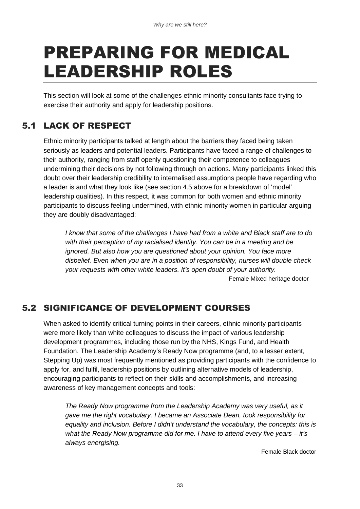# <span id="page-32-0"></span>PREPARING FOR MEDICAL LEADERSHIP ROLES

This section will look at some of the challenges ethnic minority consultants face trying to exercise their authority and apply for leadership positions.

# <span id="page-32-1"></span>5.1 LACK OF RESPECT

Ethnic minority participants talked at length about the barriers they faced being taken seriously as leaders and potential leaders. Participants have faced a range of challenges to their authority, ranging from staff openly questioning their competence to colleagues undermining their decisions by not following through on actions. Many participants linked this doubt over their leadership credibility to internalised assumptions people have regarding who a leader is and what they look like (see section 4.5 above for a breakdown of 'model' leadership qualities). In this respect, it was common for both women and ethnic minority participants to discuss feeling undermined, with ethnic minority women in particular arguing they are doubly disadvantaged:

*I know that some of the challenges I have had from a white and Black staff are to do with their perception of my racialised identity. You can be in a meeting and be ignored. But also how you are questioned about your opinion. You face more disbelief. Even when you are in a position of responsibility, nurses will double check your requests with other white leaders. It's open doubt of your authority.*  Female Mixed heritage doctor

## <span id="page-32-2"></span>5.2 SIGNIFICANCE OF DEVELOPMENT COURSES

When asked to identify critical turning points in their careers, ethnic minority participants were more likely than white colleagues to discuss the impact of various leadership development programmes, including those run by the NHS, Kings Fund, and Health Foundation. The Leadership Academy's Ready Now programme (and, to a lesser extent, Stepping Up) was most frequently mentioned as providing participants with the confidence to apply for, and fulfil, leadership positions by outlining alternative models of leadership, encouraging participants to reflect on their skills and accomplishments, and increasing awareness of key management concepts and tools:

*The Ready Now programme from the Leadership Academy was very useful, as it gave me the right vocabulary. I became an Associate Dean, took responsibility for*  equality and inclusion. Before I didn't understand the vocabulary, the concepts: this is *what the Ready Now programme did for me. I have to attend every five years – it's always energising.* 

Female Black doctor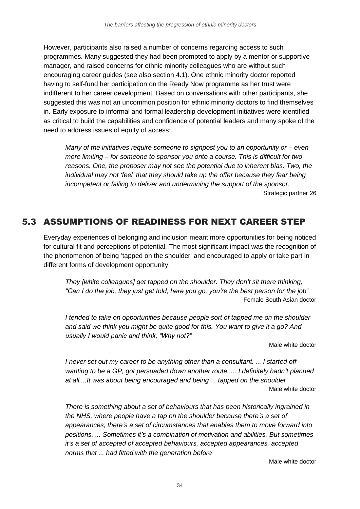However, participants also raised a number of concerns regarding access to such programmes. Many suggested they had been prompted to apply by a mentor or supportive manager, and raised concerns for ethnic minority colleagues who are without such encouraging career guides (see also section 4.1). One ethnic minority doctor reported having to self-fund her participation on the Ready Now programme as her trust were indifferent to her career development. Based on conversations with other participants, she suggested this was not an uncommon position for ethnic minority doctors to find themselves in. Early exposure to informal and formal leadership development initiatives were identified as critical to build the capabilities and confidence of potential leaders and many spoke of the need to address issues of equity of access:

*Many of the initiatives require someone to signpost you to an opportunity or – even more limiting – for someone to sponsor you onto a course. This is difficult for two reasons. One, the proposer may not see the potential due to inherent bias. Two, the individual may not 'feel' that they should take up the offer because they fear being incompetent or failing to deliver and undermining the support of the sponsor.*  Strategic partner 26

### <span id="page-33-0"></span>5.3 ASSUMPTIONS OF READINESS FOR NEXT CAREER STEP

Everyday experiences of belonging and inclusion meant more opportunities for being noticed for cultural fit and perceptions of potential. The most significant impact was the recognition of the phenomenon of being 'tapped on the shoulder' and encouraged to apply or take part in different forms of development opportunity.

*They [white colleagues] get tapped on the shoulder. They don't sit there thinking, "Can I do the job, they just get told, here you go, you're the best person for the job*" Female South Asian doctor

*I tended to take on opportunities because people sort of tapped me on the shoulder and said we think you might be quite good for this. You want to give it a go? And usually I would panic and think, "Why not?"*

Male white doctor

*I never set out my career to be anything other than a consultant. ... I started off wanting to be a GP, got persuaded down another route. ... I definitely hadn't planned at all....It was about being encouraged and being ... tapped on the shoulder* Male white doctor

*There is something about a set of behaviours that has been historically ingrained in the NHS, where people have a tap on the shoulder because there's a set of appearances, there's a set of circumstances that enables them to move forward into positions. ... Sometimes it's a combination of motivation and abilities. But sometimes it's a set of accepted of accepted behaviours, accepted appearances, accepted norms that ... had fitted with the generation before*

Male white doctor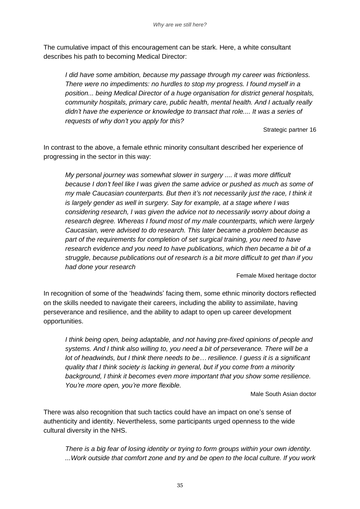The cumulative impact of this encouragement can be stark. Here, a white consultant describes his path to becoming Medical Director:

*I did have some ambition, because my passage through my career was frictionless. There were no impediments: no hurdles to stop my progress. I found myself in a position... being Medical Director of a huge organisation for district general hospitals, community hospitals, primary care, public health, mental health. And I actually really didn't have the experience or knowledge to transact that role.... It was a series of requests of why don't you apply for this?*

Strategic partner 16

In contrast to the above, a female ethnic minority consultant described her experience of progressing in the sector in this way:

*My personal journey was somewhat slower in surgery .... it was more difficult because I don't feel like I was given the same advice or pushed as much as some of my male Caucasian counterparts. But then it's not necessarily just the race, I think it is largely gender as well in surgery. Say for example, at a stage where I was considering research, I was given the advice not to necessarily worry about doing a research degree. Whereas I found most of my male counterparts, which were largely Caucasian, were advised to do research. This later became a problem because as part of the requirements for completion of set surgical training, you need to have research evidence and you need to have publications, which then became a bit of a struggle, because publications out of research is a bit more difficult to get than if you had done your research*

Female Mixed heritage doctor

In recognition of some of the 'headwinds' facing them, some ethnic minority doctors reflected on the skills needed to navigate their careers, including the ability to assimilate, having perseverance and resilience, and the ability to adapt to open up career development opportunities.

*I think being open, being adaptable, and not having pre-fixed opinions of people and systems. And I think also willing to, you need a bit of perseverance. There will be a lot of headwinds, but I think there needs to be… resilience. I guess it is a significant quality that I think society is lacking in general, but if you come from a minority background, I think it becomes even more important that you show some resilience. You're more open, you're more flexible.* 

Male South Asian doctor

There was also recognition that such tactics could have an impact on one's sense of authenticity and identity. Nevertheless, some participants urged openness to the wide cultural diversity in the NHS.

*There is a big fear of losing identity or trying to form groups within your own identity. ...Work outside that comfort zone and try and be open to the local culture. If you work*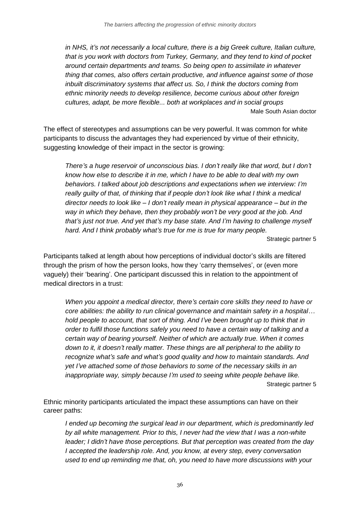*in NHS, it's not necessarily a local culture, there is a big Greek culture, Italian culture, that is you work with doctors from Turkey, Germany, and they tend to kind of pocket around certain departments and teams. So being open to assimilate in whatever thing that comes, also offers certain productive, and influence against some of those inbuilt discriminatory systems that affect us. So, I think the doctors coming from ethnic minority needs to develop resilience, become curious about other foreign cultures, adapt, be more flexible... both at workplaces and in social groups* Male South Asian doctor

The effect of stereotypes and assumptions can be very powerful. It was common for white participants to discuss the advantages they had experienced by virtue of their ethnicity, suggesting knowledge of their impact in the sector is growing:

*There's a huge reservoir of unconscious bias. I don't really like that word, but I don't know how else to describe it in me, which I have to be able to deal with my own behaviors. I talked about job descriptions and expectations when we interview: I'm really guilty of that, of thinking that if people don't look like what I think a medical director needs to look like – I don't really mean in physical appearance – but in the way in which they behave, then they probably won't be very good at the job. And that's just not true. And yet that's my base state. And I'm having to challenge myself hard. And I think probably what's true for me is true for many people.*

Strategic partner 5

Participants talked at length about how perceptions of individual doctor's skills are filtered through the prism of how the person looks, how they 'carry themselves', or (even more vaguely) their 'bearing'. One participant discussed this in relation to the appointment of medical directors in a trust:

*When you appoint a medical director, there's certain core skills they need to have or core abilities: the ability to run clinical governance and maintain safety in a hospital… hold people to account, that sort of thing. And I've been brought up to think that in order to fulfil those functions safely you need to have a certain way of talking and a certain way of bearing yourself. Neither of which are actually true. When it comes down to it, it doesn't really matter. These things are all peripheral to the ability to recognize what's safe and what's good quality and how to maintain standards. And yet I've attached some of those behaviors to some of the necessary skills in an inappropriate way, simply because I'm used to seeing white people behave like.* Strategic partner 5

Ethnic minority participants articulated the impact these assumptions can have on their career paths:

*I ended up becoming the surgical lead in our department, which is predominantly led by all white management. Prior to this, I never had the view that I was a non-white leader; I didn't have those perceptions. But that perception was created from the day I accepted the leadership role. And, you know, at every step, every conversation used to end up reminding me that, oh, you need to have more discussions with your*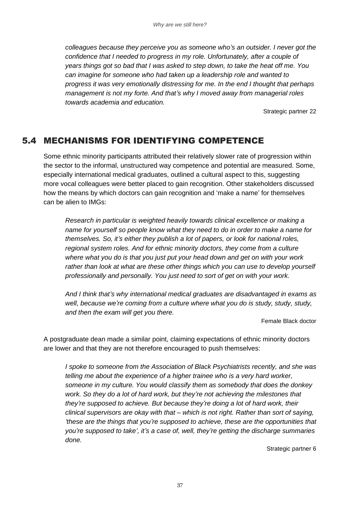*colleagues because they perceive you as someone who's an outsider. I never got the confidence that I needed to progress in my role. Unfortunately, after a couple of years things got so bad that I was asked to step down, to take the heat off me. You can imagine for someone who had taken up a leadership role and wanted to progress it was very emotionally distressing for me. In the end I thought that perhaps management is not my forte. And that's why I moved away from managerial roles towards academia and education.* 

Strategic partner 22

## 5.4 MECHANISMS FOR IDENTIFYING COMPETENCE

Some ethnic minority participants attributed their relatively slower rate of progression within the sector to the informal, unstructured way competence and potential are measured. Some, especially international medical graduates, outlined a cultural aspect to this, suggesting more vocal colleagues were better placed to gain recognition. Other stakeholders discussed how the means by which doctors can gain recognition and 'make a name' for themselves can be alien to IMGs:

*Research in particular is weighted heavily towards clinical excellence or making a name for yourself so people know what they need to do in order to make a name for themselves. So, it's either they publish a lot of papers, or look for national roles, regional system roles. And for ethnic minority doctors, they come from a culture where what you do is that you just put your head down and get on with your work rather than look at what are these other things which you can use to develop yourself professionally and personally. You just need to sort of get on with your work.* 

*And I think that's why international medical graduates are disadvantaged in exams as well, because we're coming from a culture where what you do is study, study, study, and then the exam will get you there.*

Female Black doctor

A postgraduate dean made a similar point, claiming expectations of ethnic minority doctors are lower and that they are not therefore encouraged to push themselves:

*I spoke to someone from the Association of Black Psychiatrists recently, and she was telling me about the experience of a higher trainee who is a very hard worker, someone in my culture. You would classify them as somebody that does the donkey work. So they do a lot of hard work, but they're not achieving the milestones that they're supposed to achieve. But because they're doing a lot of hard work, their clinical supervisors are okay with that – which is not right. Rather than sort of saying, 'these are the things that you're supposed to achieve, these are the opportunities that you're supposed to take', it's a case of, well, they're getting the discharge summaries done.*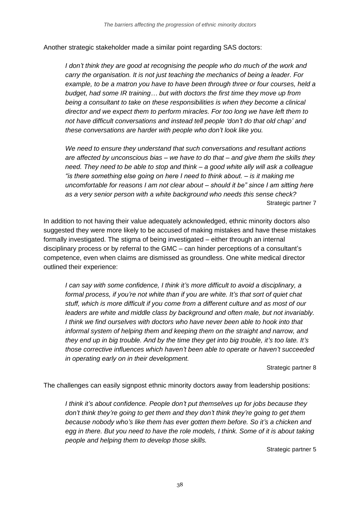Another strategic stakeholder made a similar point regarding SAS doctors:

*I don't think they are good at recognising the people who do much of the work and carry the organisation. It is not just teaching the mechanics of being a leader. For example, to be a matron you have to have been through three or four courses, held a budget, had some IR training… but with doctors the first time they move up from being a consultant to take on these responsibilities is when they become a clinical director and we expect them to perform miracles. For too long we have left them to not have difficult conversations and instead tell people 'don't do that old chap' and these conversations are harder with people who don't look like you.*

*We need to ensure they understand that such conversations and resultant actions are affected by unconscious bias – we have to do that – and give them the skills they need. They need to be able to stop and think – a good white ally will ask a colleague "is there something else going on here I need to think about. – is it making me uncomfortable for reasons I am not clear about – should it be" since I am sitting here as a very senior person with a white background who needs this sense check?*  Strategic partner 7

In addition to not having their value adequately acknowledged, ethnic minority doctors also suggested they were more likely to be accused of making mistakes and have these mistakes formally investigated. The stigma of being investigated – either through an internal disciplinary process or by referral to the GMC – can hinder perceptions of a consultant's competence, even when claims are dismissed as groundless. One white medical director outlined their experience:

*I can say with some confidence, I think it's more difficult to avoid a disciplinary, a formal process, if you're not white than if you are white. It's that sort of quiet chat stuff, which is more difficult if you come from a different culture and as most of our leaders are white and middle class by background and often male, but not invariably. I think we find ourselves with doctors who have never been able to hook into that informal system of helping them and keeping them on the straight and narrow, and they end up in big trouble. And by the time they get into big trouble, it's too late. It's those corrective influences which haven't been able to operate or haven't succeeded in operating early on in their development.*

#### Strategic partner 8

The challenges can easily signpost ethnic minority doctors away from leadership positions:

*I think it's about confidence. People don't put themselves up for jobs because they don't think they're going to get them and they don't think they're going to get them because nobody who's like them has ever gotten them before. So it's a chicken and egg in there. But you need to have the role models, I think. Some of it is about taking people and helping them to develop those skills.*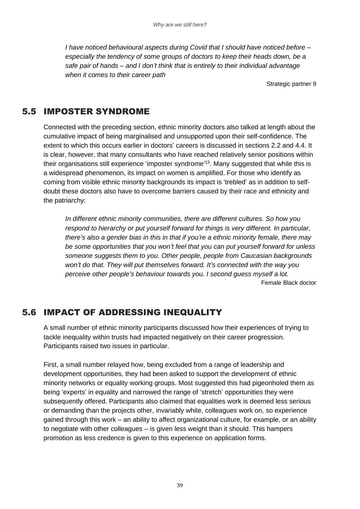*I have noticed behavioural aspects during Covid that I should have noticed before – especially the tendency of some groups of doctors to keep their heads down, be a safe pair of hands – and I don't think that is entirely to their individual advantage when it comes to their career path*

Strategic partner 9

## 5.5 IMPOSTER SYNDROME

Connected with the preceding section, ethnic minority doctors also talked at length about the cumulative impact of being marginalised and unsupported upon their self-confidence. The extent to which this occurs earlier in doctors' careers is discussed in sections 2.2 and 4.4. It is clear, however, that many consultants who have reached relatively senior positions within their organisations still experience 'imposter syndrome' <sup>13</sup>. Many suggested that while this is a widespread phenomenon, its impact on women is amplified. For those who identify as coming from visible ethnic minority backgrounds its impact is 'trebled' as in addition to selfdoubt these doctors also have to overcome barriers caused by their race and ethnicity and the patriarchy:

*In different ethnic minority communities, there are different cultures. So how you respond to hierarchy or put yourself forward for things is very different. In particular, there's also a gender bias in this in that if you're a ethnic minority female, there may be some opportunities that you won't feel that you can put yourself forward for unless someone suggests them to you. Other people, people from Caucasian backgrounds won't do that. They will put themselves forward. It's connected with the way you perceive other people's behaviour towards you. I second guess myself a lot.* Female Black doctor

### 5.6 IMPACT OF ADDRESSING INEQUALITY

A small number of ethnic minority participants discussed how their experiences of trying to tackle inequality within trusts had impacted negatively on their career progression. Participants raised two issues in particular.

First, a small number relayed how, being excluded from a range of leadership and development opportunities, they had been asked to support the development of ethnic minority networks or equality working groups. Most suggested this had pigeonholed them as being 'experts' in equality and narrowed the range of 'stretch' opportunities they were subsequently offered. Participants also claimed that equalities work is deemed less serious or demanding than the projects other, invariably white, colleagues work on, so experience gained through this work – an ability to affect organizational culture, for example, or an ability to negotiate with other colleagues – is given less weight than it should. This hampers promotion as less credence is given to this experience on application forms.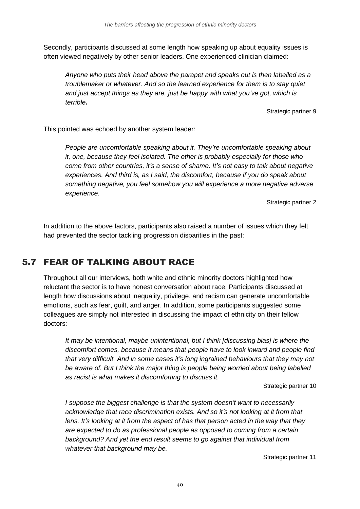Secondly, participants discussed at some length how speaking up about equality issues is often viewed negatively by other senior leaders. One experienced clinician claimed:

*Anyone who puts their head above the parapet and speaks out is then labelled as a troublemaker or whatever. And so the learned experience for them is to stay quiet and just accept things as they are, just be happy with what you've got, which is terrible***.**

Strategic partner 9

This pointed was echoed by another system leader:

*People are uncomfortable speaking about it. They're uncomfortable speaking about it, one, because they feel isolated. The other is probably especially for those who come from other countries, it's a sense of shame. It's not easy to talk about negative experiences. And third is, as I said, the discomfort, because if you do speak about something negative, you feel somehow you will experience a more negative adverse experience.*

Strategic partner 2

In addition to the above factors, participants also raised a number of issues which they felt had prevented the sector tackling progression disparities in the past:

## 5.7 FEAR OF TALKING ABOUT RACE

Throughout all our interviews, both white and ethnic minority doctors highlighted how reluctant the sector is to have honest conversation about race. Participants discussed at length how discussions about inequality, privilege, and racism can generate uncomfortable emotions, such as fear, guilt, and anger. In addition, some participants suggested some colleagues are simply not interested in discussing the impact of ethnicity on their fellow doctors:

*It may be intentional, maybe unintentional, but I think [discussing bias] is where the discomfort comes, because it means that people have to look inward and people find that very difficult. And in some cases it's long ingrained behaviours that they may not be aware of. But I think the major thing is people being worried about being labelled as racist is what makes it discomforting to discuss it.*

Strategic partner 10

*I suppose the biggest challenge is that the system doesn't want to necessarily acknowledge that race discrimination exists. And so it's not looking at it from that lens. It's looking at it from the aspect of has that person acted in the way that they are expected to do as professional people as opposed to coming from a certain background? And yet the end result seems to go against that individual from whatever that background may be.*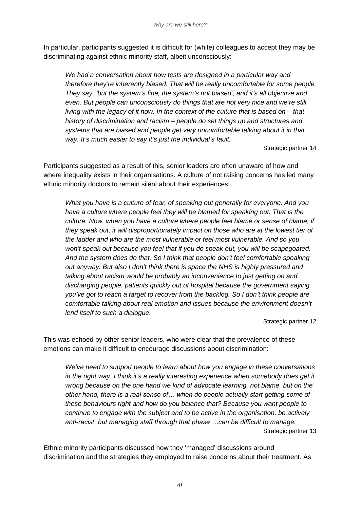In particular, participants suggested it is difficult for (white) colleagues to accept they may be discriminating against ethnic minority staff, albeit unconsciously:

*We had a conversation about how tests are designed in a particular way and therefore they're inherently biased. That will be really uncomfortable for some people. They say, 'but the system's fine, the system's not biased', and it's all objective and even. But people can unconsciously do things that are not very nice and we're still living with the legacy of it now. In the context of the culture that is based on – that history of discrimination and racism – people do set things up and structures and systems that are biased and people get very uncomfortable talking about it in that way. It's much easier to say it's just the individual's fault.*

Strategic partner 14

Participants suggested as a result of this, senior leaders are often unaware of how and where inequality exists in their organisations. A culture of not raising concerns has led many ethnic minority doctors to remain silent about their experiences:

*What you have is a culture of fear, of speaking out generally for everyone. And you*  have a culture where people feel they will be blamed for speaking out. That is the *culture. Now, when you have a culture where people feel blame or sense of blame, if they speak out, it will disproportionately impact on those who are at the lowest tier of the ladder and who are the most vulnerable or feel most vulnerable. And so you won't speak out because you feel that if you do speak out, you will be scapegoated. And the system does do that. So I think that people don't feel comfortable speaking out anyway. But also I don't think there is space the NHS is highly pressured and talking about racism would be probably an inconvenience to just getting on and discharging people, patients quickly out of hospital because the government saying you've got to reach a target to recover from the backlog. So I don't think people are comfortable talking about real emotion and issues because the environment doesn't lend itself to such a dialogue.*

Strategic partner 12

This was echoed by other senior leaders, who were clear that the prevalence of these emotions can make it difficult to encourage discussions about discrimination:

*We've need to support people to learn about how you engage in these conversations in the right way. I think it's a really interesting experience when somebody does get it wrong because on the one hand we kind of advocate learning, not blame, but on the other hand, there is a real sense of… when do people actually start getting some of these behaviours right and how do you balance that? Because you want people to continue to engage with the subject and to be active in the organisation, be actively anti-racist, but managing staff through that phase …can be difficult to manage.*  Strategic partner 13

Ethnic minority participants discussed how they 'managed' discussions around discrimination and the strategies they employed to raise concerns about their treatment. As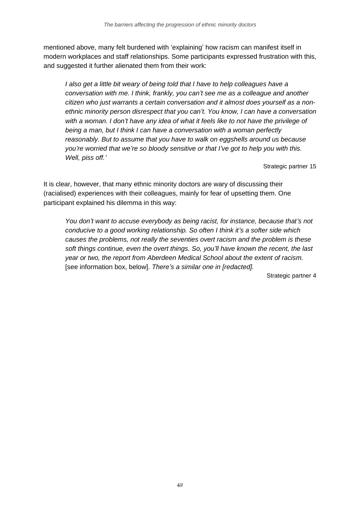mentioned above, many felt burdened with 'explaining' how racism can manifest itself in modern workplaces and staff relationships. Some participants expressed frustration with this, and suggested it further alienated them from their work:

*I also get a little bit weary of being told that I have to help colleagues have a conversation with me. I think, frankly, you can't see me as a colleague and another citizen who just warrants a certain conversation and it almost does yourself as a nonethnic minority person disrespect that you can't. You know, I can have a conversation with a woman. I don't have any idea of what it feels like to not have the privilege of being a man, but I think I can have a conversation with a woman perfectly reasonably. But to assume that you have to walk on eggshells around us because you're worried that we're so bloody sensitive or that I've got to help you with this. Well, piss off.'*

Strategic partner 15

It is clear, however, that many ethnic minority doctors are wary of discussing their (racialised) experiences with their colleagues, mainly for fear of upsetting them. One participant explained his dilemma in this way:

*You don't want to accuse everybody as being racist, for instance, because that's not conducive to a good working relationship. So often I think it's a softer side which causes the problems, not really the seventies overt racism and the problem is these soft things continue, even the overt things. So, you'll have known the recent, the last year or two, the report from Aberdeen Medical School about the extent of racism.*  [see information box, below]. *There's a similar one in [redacted].*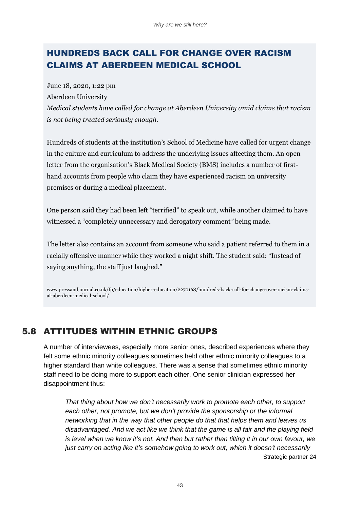## HUNDREDS BACK CALL FOR CHANGE OVER RACISM CLAIMS AT ABERDEEN MEDICAL SCHOOL

June 18, 2020, 1:22 pm Aberdeen University *Medical students have called for change at Aberdeen University amid claims that racism is not being treated seriously enough.*

Hundreds of students at the institution's School of Medicine have called for urgent change in the culture and curriculum to address the underlying issues affecting them. An open letter from the organisation's Black Medical Society (BMS) includes a number of firsthand accounts from people who claim they have experienced racism on university premises or during a medical placement.

One person said they had been left "terrified" to speak out, while another claimed to have witnessed a "completely unnecessary and derogatory comment*"* being made.

The letter also contains an account from someone who said a patient referred to them in a racially offensive manner while they worked a night shift. The student said: "Instead of saying anything, the staff just laughed."

www.pressandjournal.co.uk/fp/education/higher-education/2270168/hundreds-back-call-for-change-over-racism-claimsat-aberdeen-medical-school/

## 5.8 ATTITUDES WITHIN ETHNIC GROUPS

A number of interviewees, especially more senior ones, described experiences where they felt some ethnic minority colleagues sometimes held other ethnic minority colleagues to a higher standard than white colleagues. There was a sense that sometimes ethnic minority staff need to be doing more to support each other. One senior clinician expressed her disappointment thus:

*That thing about how we don't necessarily work to promote each other, to support*  each other, not promote, but we don't provide the sponsorship or the informal *networking that in the way that other people do that that helps them and leaves us disadvantaged. And we act like we think that the game is all fair and the playing field is level when we know it's not. And then but rather than tilting it in our own favour, we just carry on acting like it's somehow going to work out, which it doesn't necessarily* Strategic partner 24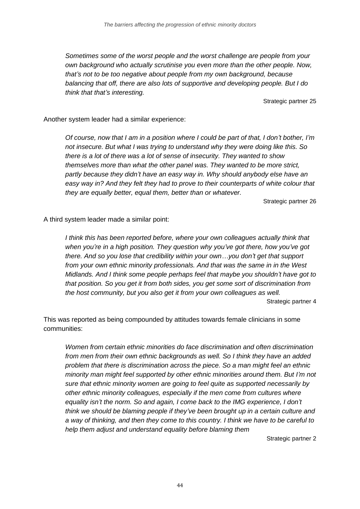*Sometimes some of the worst people and the worst challenge are people from your own background who actually scrutinise you even more than the other people. Now, that's not to be too negative about people from my own background, because balancing that off, there are also lots of supportive and developing people. But I do think that that's interesting.* 

Strategic partner 25

Another system leader had a similar experience:

*Of course, now that I am in a position where I could be part of that, I don't bother, I'm not insecure. But what I was trying to understand why they were doing like this. So there is a lot of there was a lot of sense of insecurity. They wanted to show themselves more than what the other panel was. They wanted to be more strict, partly because they didn't have an easy way in. Why should anybody else have an easy way in? And they felt they had to prove to their counterparts of white colour that they are equally better, equal them, better than or whatever.* 

Strategic partner 26

A third system leader made a similar point:

*I think this has been reported before, where your own colleagues actually think that when you're in a high position. They question why you've got there, how you've got there. And so you lose that credibility within your own…you don't get that support from your own ethnic minority professionals. And that was the same in in the West Midlands. And I think some people perhaps feel that maybe you shouldn't have got to that position. So you get it from both sides, you get some sort of discrimination from the host community, but you also get it from your own colleagues as well.*  Strategic partner 4

This was reported as being compounded by attitudes towards female clinicians in some communities:

*Women from certain ethnic minorities do face discrimination and often discrimination from men from their own ethnic backgrounds as well. So I think they have an added problem that there is discrimination across the piece. So a man might feel an ethnic minority man might feel supported by other ethnic minorities around them. But I'm not sure that ethnic minority women are going to feel quite as supported necessarily by other ethnic minority colleagues, especially if the men come from cultures where equality isn't the norm. So and again, I come back to the IMG experience, I don't think we should be blaming people if they've been brought up in a certain culture and a way of thinking, and then they come to this country. I think we have to be careful to help them adjust and understand equality before blaming them*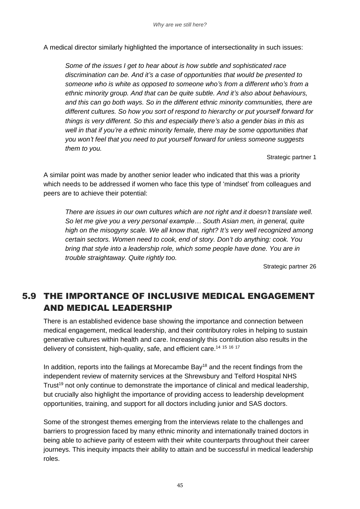A medical director similarly highlighted the importance of intersectionality in such issues:

*Some of the issues I get to hear about is how subtle and sophisticated race discrimination can be. And it's a case of opportunities that would be presented to someone who is white as opposed to someone who's from a different who's from a ethnic minority group. And that can be quite subtle. And it's also about behaviours, and this can go both ways. So in the different ethnic minority communities, there are different cultures. So how you sort of respond to hierarchy or put yourself forward for things is very different. So this and especially there's also a gender bias in this as well in that if you're a ethnic minority female, there may be some opportunities that you won't feel that you need to put yourself forward for unless someone suggests them to you.*

Strategic partner 1

A similar point was made by another senior leader who indicated that this was a priority which needs to be addressed if women who face this type of 'mindset' from colleagues and peers are to achieve their potential:

*There are issues in our own cultures which are not right and it doesn't translate well. So let me give you a very personal example… South Asian men, in general, quite high on the misogyny scale. We all know that, right? It's very well recognized among certain sectors. Women need to cook, end of story. Don't do anything: cook. You bring that style into a leadership role, which some people have done. You are in trouble straightaway. Quite rightly too.* 

Strategic partner 26

## 5.9 THE IMPORTANCE OF INCLUSIVE MEDICAL ENGAGEMENT AND MEDICAL LEADERSHIP

There is an established evidence base showing the importance and connection between medical engagement, medical leadership, and their contributory roles in helping to sustain generative cultures within health and care. Increasingly this contribution also results in the delivery of consistent, high-quality, safe, and efficient care.<sup>14 15 16 17</sup>

In addition, reports into the failings at Morecambe  $Bay<sup>18</sup>$  and the recent findings from the independent review of maternity services at the Shrewsbury and Telford Hospital NHS Trust<sup>19</sup> not only continue to demonstrate the importance of clinical and medical leadership, but crucially also highlight the importance of providing access to leadership development opportunities, training, and support for all doctors including junior and SAS doctors.

Some of the strongest themes emerging from the interviews relate to the challenges and barriers to progression faced by many ethnic minority and internationally trained doctors in being able to achieve parity of esteem with their white counterparts throughout their career journeys. This inequity impacts their ability to attain and be successful in medical leadership roles.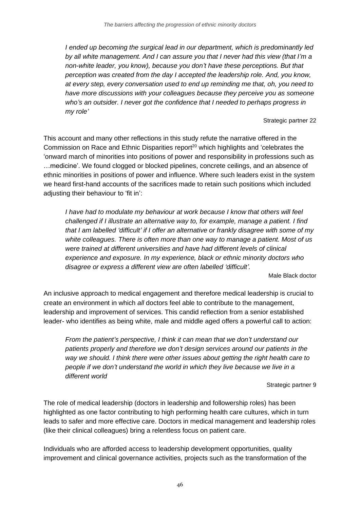*I ended up becoming the surgical lead in our department, which is predominantly led by all white management. And I can assure you that I never had this view (that I'm a non-white leader, you know), because you don't have these perceptions. But that perception was created from the day I accepted the leadership role. And, you know, at every step, every conversation used to end up reminding me that, oh, you need to have more discussions with your colleagues because they perceive you as someone who's an outsider. I never got the confidence that I needed to perhaps progress in my role'*

Strategic partner 22

This account and many other reflections in this study refute the narrative offered in the Commission on Race and Ethnic Disparities report<sup>20</sup> which highlights and 'celebrates the 'onward march of minorities into positions of power and responsibility in professions such as …medicine'. We found clogged or blocked pipelines, concrete ceilings, and an absence of ethnic minorities in positions of power and influence. Where such leaders exist in the system we heard first-hand accounts of the sacrifices made to retain such positions which included adjusting their behaviour to 'fit in':

*I have had to modulate my behaviour at work because I know that others will feel challenged if I illustrate an alternative way to, for example, manage a patient. I find that I am labelled 'difficult' if I offer an alternative or frankly disagree with some of my white colleagues. There is often more than one way to manage a patient. Most of us were trained at different universities and have had different levels of clinical experience and exposure. In my experience, black or ethnic minority doctors who disagree or express a different view are often labelled 'difficult'.*

Male Black doctor

An inclusive approach to medical engagement and therefore medical leadership is crucial to create an environment in which *all* doctors feel able to contribute to the management, leadership and improvement of services. This candid reflection from a senior established leader- who identifies as being white, male and middle aged offers a powerful call to action:

*From the patient's perspective, I think it can mean that we don't understand our patients properly and therefore we don't design services around our patients in the way we should. I think there were other issues about getting the right health care to people if we don't understand the world in which they live because we live in a different world*

Strategic partner 9

The role of medical leadership (doctors in leadership and followership roles) has been highlighted as one factor contributing to high performing health care cultures, which in turn leads to safer and more effective care. Doctors in medical management and leadership roles (like their clinical colleagues) bring a relentless focus on patient care.

Individuals who are afforded access to leadership development opportunities, quality improvement and clinical governance activities, projects such as the transformation of the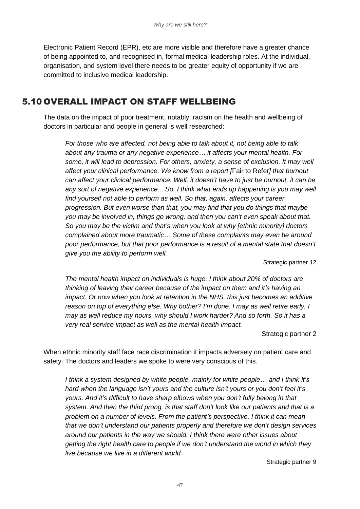Electronic Patient Record (EPR), etc are more visible and therefore have a greater chance of being appointed to, and recognised in, formal medical leadership roles. At the individual, organisation, and system level there needs to be greater equity of opportunity if we are committed to inclusive medical leadership.

### 5.10 OVERALL IMPACT ON STAFF WELLBEING

The data on the impact of poor treatment, notably, racism on the health and wellbeing of doctors in particular and people in general is well researched:

*For those who are affected, not being able to talk about it, not being able to talk about any trauma or any negative experience… it affects your mental health. For some, it will lead to depression. For others, anxiety, a sense of exclusion. It may well affect your clinical performance. We know from a report [*Fair to Refer*] that burnout can affect your clinical performance. Well, it doesn't have to just be burnout, it can be any sort of negative experience... So, I think what ends up happening is you may well find yourself not able to perform as well. So that, again, affects your career progression. But even worse than that, you may find that you do things that maybe you may be involved in, things go wrong, and then you can't even speak about that. So you may be the victim and that's when you look at why [ethnic minority] doctors complained about more traumatic… Some of these complaints may even be around poor performance, but that poor performance is a result of a mental state that doesn't give you the ability to perform well.*

Strategic partner 12

*The mental health impact on individuals is huge. I think about 20% of doctors are thinking of leaving their career because of the impact on them and it's having an impact. Or now when you look at retention in the NHS, this just becomes an additive reason on top of everything else. Why bother? I'm done. I may as well retire early. I may as well reduce my hours, why should I work harder? And so forth. So it has a very real service impact as well as the mental health impact.* 

Strategic partner 2

When ethnic minority staff face race discrimination it impacts adversely on patient care and safety. The doctors and leaders we spoke to were very conscious of this.

*I think a system designed by white people, mainly for white people… and I think it's hard when the language isn't yours and the culture isn't yours or you don't feel it's yours. And it's difficult to have sharp elbows when you don't fully belong in that system. And then the third prong, is that staff don't look like our patients and that is a problem on a number of levels. From the patient's perspective, I think it can mean that we don't understand our patients properly and therefore we don't design services around our patients in the way we should. I think there were other issues about getting the right health care to people if we don't understand the world in which they live because we live in a different world.*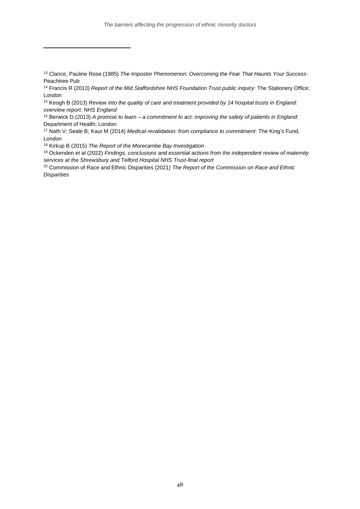<sup>15</sup> Keogh B (2013) *Review into the quality of care and treatment provided by 14 hospital trusts in England: overview report: NHS England*

<sup>16</sup> Berwick D (2013) *A promise to learn – a commitment to act: improving the safety of patients in England*: Department of Health; London

<sup>17</sup> Nath V; Seale B; Kaur M (2014) *Medical revalidation: from compliance to commitment*: The King's Fund, London

<sup>18</sup> Kirkup B (2015) *The Report of the Morecambe Bay Investigation*

<sup>19</sup> Ockenden et al (2022) *Findings, conclusions and essential actions from the independent review of maternity services at the Shrewsbury and Telford Hospital NHS Trust-final report*

<sup>20</sup> Commission of Race and Ethnic Disparities (2021) *The Report of the Commission on Race and Ethnic Disparities*

<sup>13</sup> Clance, Pauline Rose (1985) *The Impostor Phenomenon: Overcoming the Fear That Haunts Your Success*: Peachtree Pub

<sup>14</sup> Francis R (2013) *Report of the Mid Staffordshire NHS Foundation Trust public inquiry:* The Stationery Office; London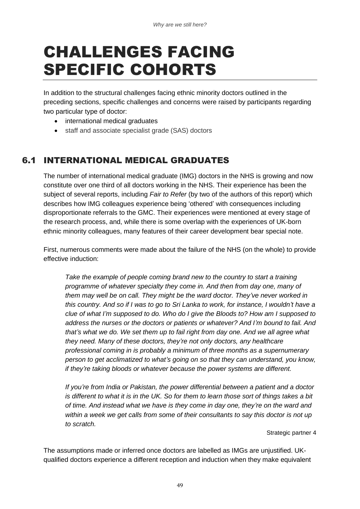## CHALLENGES FACING SPECIFIC COHORTS

In addition to the structural challenges facing ethnic minority doctors outlined in the preceding sections, specific challenges and concerns were raised by participants regarding two particular type of doctor:

- international medical graduates
- staff and associate specialist grade (SAS) doctors

## 6.1 INTERNATIONAL MEDICAL GRADUATES

The number of international medical graduate (IMG) doctors in the NHS is growing and now constitute over one third of all doctors working in the NHS. Their experience has been the subject of several reports, including *Fair to Refer* (by two of the authors of this report) which describes how IMG colleagues experience being 'othered' with consequences including disproportionate referrals to the GMC. Their experiences were mentioned at every stage of the research process, and, while there is some overlap with the experiences of UK-born ethnic minority colleagues, many features of their career development bear special note.

First, numerous comments were made about the failure of the NHS (on the whole) to provide effective induction:

*Take the example of people coming brand new to the country to start a training programme of whatever specialty they come in. And then from day one, many of them may well be on call. They might be the ward doctor. They've never worked in this country. And so if I was to go to Sri Lanka to work, for instance, I wouldn't have a clue of what I'm supposed to do. Who do I give the Bloods to? How am I supposed to address the nurses or the doctors or patients or whatever? And I'm bound to fail. And that's what we do. We set them up to fail right from day one. And we all agree what they need. Many of these doctors, they're not only doctors, any healthcare professional coming in is probably a minimum of three months as a supernumerary person to get acclimatized to what's going on so that they can understand, you know, if they're taking bloods or whatever because the power systems are different.* 

*If you're from India or Pakistan, the power differential between a patient and a doctor is different to what it is in the UK. So for them to learn those sort of things takes a bit of time. And instead what we have is they come in day one, they're on the ward and within a week we get calls from some of their consultants to say this doctor is not up to scratch.* 

Strategic partner 4

The assumptions made or inferred once doctors are labelled as IMGs are unjustified. UKqualified doctors experience a different reception and induction when they make equivalent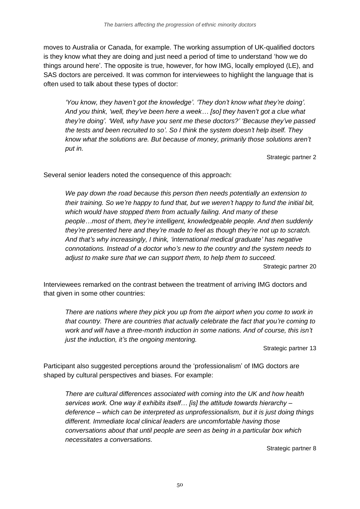moves to Australia or Canada, for example. The working assumption of UK-qualified doctors is they know what they are doing and just need a period of time to understand 'how we do things around here'. The opposite is true, however, for how IMG, locally employed (LE), and SAS doctors are perceived. It was common for interviewees to highlight the language that is often used to talk about these types of doctor:

*'You know, they haven't got the knowledge'. 'They don't know what they're doing'. And you think, 'well, they've been here a week… [so] they haven't got a clue what they're doing'. 'Well, why have you sent me these doctors?' 'Because they've passed the tests and been recruited to so'. So I think the system doesn't help itself. They know what the solutions are. But because of money, primarily those solutions aren't put in.* 

Strategic partner 2

Several senior leaders noted the consequence of this approach:

*We pay down the road because this person then needs potentially an extension to their training. So we're happy to fund that, but we weren't happy to fund the initial bit, which would have stopped them from actually failing. And many of these people…most of them, they're intelligent, knowledgeable people. And then suddenly they're presented here and they're made to feel as though they're not up to scratch. And that's why increasingly, I think, 'international medical graduate' has negative connotations. Instead of a doctor who's new to the country and the system needs to adjust to make sure that we can support them, to help them to succeed.* Strategic partner 20

Interviewees remarked on the contrast between the treatment of arriving IMG doctors and that given in some other countries:

*There are nations where they pick you up from the airport when you come to work in that country. There are countries that actually celebrate the fact that you're coming to work and will have a three-month induction in some nations. And of course, this isn't just the induction, it's the ongoing mentoring.* 

Strategic partner 13

Participant also suggested perceptions around the 'professionalism' of IMG doctors are shaped by cultural perspectives and biases. For example:

*There are cultural differences associated with coming into the UK and how health services work. One way it exhibits itself… [is] the attitude towards hierarchy – deference – which can be interpreted as unprofessionalism, but it is just doing things different. Immediate local clinical leaders are uncomfortable having those conversations about that until people are seen as being in a particular box which necessitates a conversations.*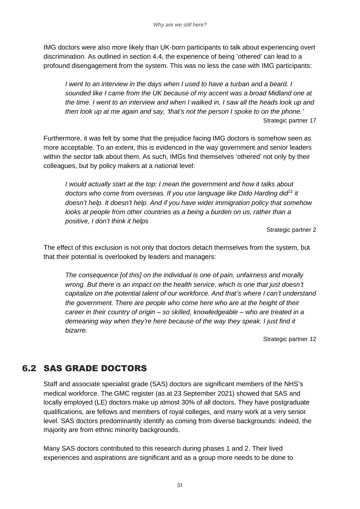IMG doctors were also more likely than UK-born participants to talk about experiencing overt discrimination. As outlined in section 4.4, the experience of being 'othered' can lead to a profound disengagement from the system. This was no less the case with IMG participants:

*I went to an interview in the days when I used to have a turban and a beard. I sounded like I came from the UK because of my accent was a broad Midland one at the time. I went to an interview and when I walked in, I saw all the heads look up and then look up at me again and say, 'that's not the person I spoke to on the phone.'* Strategic partner 17

Furthermore, it was felt by some that the prejudice facing IMG doctors is somehow seen as more acceptable. To an extent, this is evidenced in the way government and senior leaders within the sector talk about them. As such, IMGs find themselves 'othered' not only by their colleagues, but by policy makers at a national level:

*I would actually start at the top: I mean the government and how it talks about doctors who come from overseas. If you use language like Dido Harding did<sup>21</sup> it doesn't help. It doesn't help. And if you have wider immigration policy that somehow looks at people from other countries as a being a burden on us, rather than a positive, I don't think it helps*

Strategic partner 2

The effect of this exclusion is not only that doctors detach themselves from the system, but that their potential is overlooked by leaders and managers:

*The consequence [of this] on the individual is one of pain, unfairness and morally wrong. But there is an impact on the health service, which is one that just doesn't capitalize on the potential talent of our workforce. And that's where I can't understand the government. There are people who come here who are at the height of their career in their country of origin – so skilled, knowledgeable – who are treated in a demeaning way when they're here because of the way they speak. I just find it bizarre.*

Strategic partner 12

## 6.2 SAS GRADE DOCTORS

Staff and associate specialist grade (SAS) doctors are significant members of the NHS's medical workforce. The GMC register (as at 23 September 2021) showed that SAS and locally employed (LE) doctors make up almost 30% of all doctors. They have postgraduate qualifications, are fellows and members of royal colleges, and many work at a very senior level. SAS doctors predominantly identify as coming from diverse backgrounds: indeed, the majority are from ethnic minority backgrounds.

Many SAS doctors contributed to this research during phases 1 and 2. Their lived experiences and aspirations are significant and as a group more needs to be done to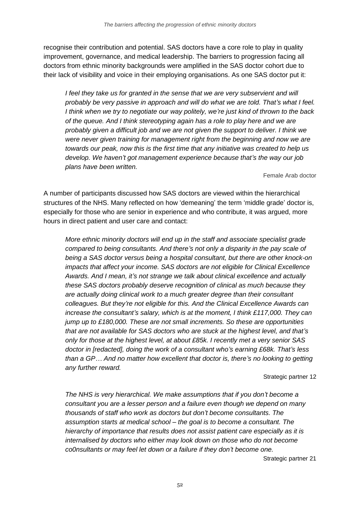recognise their contribution and potential. SAS doctors have a core role to play in quality improvement, governance, and medical leadership. The barriers to progression facing all doctors from ethnic minority backgrounds were amplified in the SAS doctor cohort due to their lack of visibility and voice in their employing organisations. As one SAS doctor put it:

*I* feel they take us for granted in the sense that we are very subservient and will *probably be very passive in approach and will do what we are told. That's what I feel. I think when we try to negotiate our way politely, we're just kind of thrown to the back of the queue. And I think stereotyping again has a role to play here and we are probably given a difficult job and we are not given the support to deliver. I think we were never given training for management right from the beginning and now we are towards our peak, now this is the first time that any initiative was created to help us develop. We haven't got management experience because that's the way our job plans have been written.* 

Female Arab doctor

A number of participants discussed how SAS doctors are viewed within the hierarchical structures of the NHS. Many reflected on how 'demeaning' the term 'middle grade' doctor is, especially for those who are senior in experience and who contribute, it was argued, more hours in direct patient and user care and contact:

*More ethnic minority doctors will end up in the staff and associate specialist grade compared to being consultants. And there's not only a disparity in the pay scale of being a SAS doctor versus being a hospital consultant, but there are other knock-on impacts that affect your income. SAS doctors are not eligible for Clinical Excellence Awards. And I mean, it's not strange we talk about clinical excellence and actually these SAS doctors probably deserve recognition of clinical as much because they are actually doing clinical work to a much greater degree than their consultant colleagues. But they're not eligible for this. And the Clinical Excellence Awards can increase the consultant's salary, which is at the moment, I think £117,000. They can jump up to £180,000. These are not small increments. So these are opportunities that are not available for SAS doctors who are stuck at the highest level, and that's only for those at the highest level, at about £85k. I recently met a very senior SAS doctor in [redacted], doing the work of a consultant who's earning £68k. That's less than a GP… And no matter how excellent that doctor is, there's no looking to getting any further reward.*

#### Strategic partner 12

*The NHS is very hierarchical. We make assumptions that if you don't become a consultant you are a lesser person and a failure even though we depend on many thousands of staff who work as doctors but don't become consultants. The assumption starts at medical school – the goal is to become a consultant. The hierarchy of importance that results does not assist patient care especially as it is internalised by doctors who either may look down on those who do not become co0nsultants or may feel let down or a failure if they don't become one.*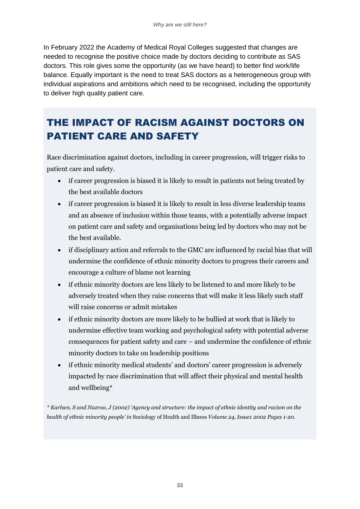In February 2022 the Academy of Medical Royal Colleges suggested that changes are needed to recognise the positive choice made by doctors deciding to contribute as SAS doctors. This role gives some the opportunity (as we have heard) to better find work/life balance. Equally important is the need to treat SAS doctors as a heterogeneous group with individual aspirations and ambitions which need to be recognised, including the opportunity to deliver high quality patient care.

## THE IMPACT OF RACISM AGAINST DOCTORS ON PATIENT CARE AND SAFETY

Race discrimination against doctors, including in career progression, will trigger risks to patient care and safety.

- if career progression is biased it is likely to result in patients not being treated by the best available doctors
- if career progression is biased it is likely to result in less diverse leadership teams and an absence of inclusion within those teams, with a potentially adverse impact on patient care and safety and organisations being led by doctors who may not be the best available.
- if disciplinary action and referrals to the GMC are influenced by racial bias that will undermine the confidence of ethnic minority doctors to progress their careers and encourage a culture of blame not learning
- if ethnic minority doctors are less likely to be listened to and more likely to be adversely treated when they raise concerns that will make it less likely such staff will raise concerns or admit mistakes
- if ethnic minority doctors are more likely to be bullied at work that is likely to undermine effective team working and psychological safety with potential adverse consequences for patient safety and care – and undermine the confidence of ethnic minority doctors to take on leadership positions
- if ethnic minority medical students' and doctors' career progression is adversely impacted by race discrimination that will affect their physical and mental health and wellbeing\*

*\* Karlsen, S and Nazroo, J (2002) 'Agency and structure: the impact of ethnic identity and racism on the health of ethnic minority people' in* Sociology of Health and Illness *[Volume](https://onlinelibrary.wiley.com/toc/14679566/2002/24/1) 24, Issue1 2002 Pages 1-20.*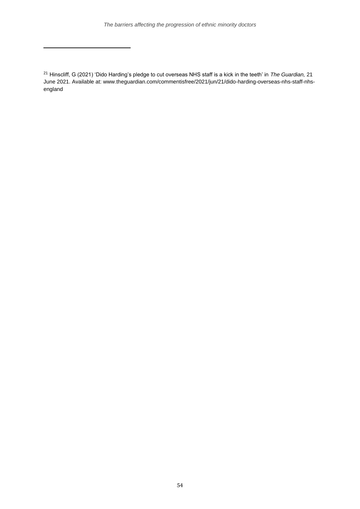<sup>21</sup> Hinscliff, G (2021) 'Dido Harding's pledge to cut overseas NHS staff is a kick in the teeth' in *The Guardian,* 21 June 2021. Available at: www.theguardian.com/commentisfree/2021/jun/21/dido-harding-overseas-nhs-staff-nhsengland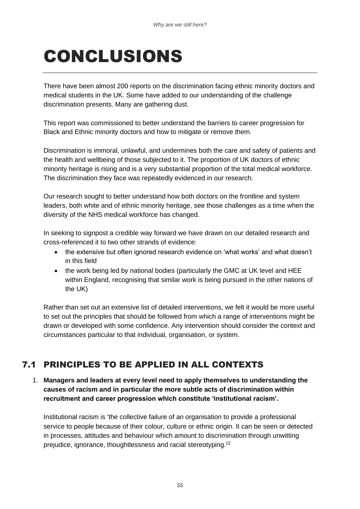# CONCLUSIONS

There have been almost 200 reports on the discrimination facing ethnic minority doctors and medical students in the UK. Some have added to our understanding of the challenge discrimination presents. Many are gathering dust.

This report was commissioned to better understand the barriers to career progression for Black and Ethnic minority doctors and how to mitigate or remove them.

Discrimination is immoral, unlawful, and undermines both the care and safety of patients and the health and wellbeing of those subjected to it. The proportion of UK doctors of ethnic minority heritage is rising and is a very substantial proportion of the total medical workforce. The discrimination they face was repeatedly evidenced in our research.

Our research sought to better understand how both doctors on the frontline and system leaders, both white and of ethnic minority heritage, see those challenges as a time when the diversity of the NHS medical workforce has changed.

In seeking to signpost a credible way forward we have drawn on our detailed research and cross-referenced it to two other strands of evidence:

- the extensive but often ignored research evidence on 'what works' and what doesn't in this field
- the work being led by national bodies (particularly the GMC at UK level and HEE within England, recognising that similar work is being pursued in the other nations of the UK)

Rather than set out an extensive list of detailed interventions, we felt it would be more useful to set out the principles that should be followed from which a range of interventions might be drawn or developed with some confidence. Any intervention should consider the context and circumstances particular to that individual, organisation, or system.

## 7.1 PRINCIPLES TO BE APPLIED IN ALL CONTEXTS

1. **Managers and leaders at every level need to apply themselves to understanding the causes of racism and in particular the more subtle acts of discrimination within recruitment and career progression which constitute 'institutional racism'.**

Institutional racism is 'the collective failure of an organisation to provide a professional service to people because of their colour, culture or ethnic origin. It can be seen or detected in processes, attitudes and behaviour which amount to discrimination through unwitting prejudice, ignorance, thoughtlessness and racial stereotyping.<sup>22</sup>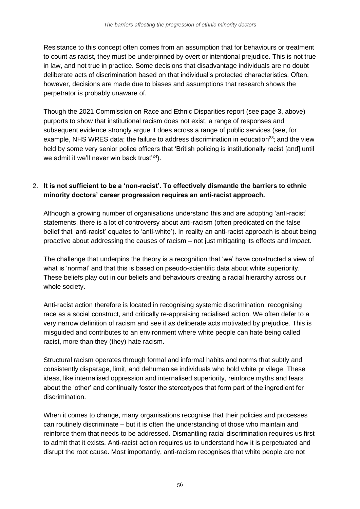Resistance to this concept often comes from an assumption that for behaviours or treatment to count as racist, they must be underpinned by overt or intentional prejudice. This is not true in law, and not true in practice. Some decisions that disadvantage individuals are no doubt deliberate acts of discrimination based on that individual's protected characteristics. Often, however, decisions are made due to biases and assumptions that research shows the perpetrator is probably unaware of.

Though the 2021 Commission on Race and Ethnic Disparities report (see page 3, above) purports to show that institutional racism does not exist, a range of responses and subsequent evidence strongly argue it does across a range of public services (see, for example, NHS WRES data; the failure to address discrimination in education<sup>23</sup>; and the view held by some very senior police officers that 'British policing is institutionally racist [and] until we admit it we'll never win back trust'<sup>24</sup>).

#### 2. **It is not sufficient to be a 'non-racist'. To effectively dismantle the barriers to ethnic minority doctors' career progression requires an anti-racist approach.**

Although a growing number of organisations understand this and are adopting 'anti-racist' statements, there is a lot of controversy about anti-racism (often predicated on the false belief that 'anti-racist' equates to 'anti-white'). In reality an anti-racist approach is about being proactive about addressing the causes of racism – not just mitigating its effects and impact.

The challenge that underpins the theory is a recognition that 'we' have constructed a view of what is 'normal' and that this is based on pseudo-scientific data about white superiority. These beliefs play out in our beliefs and behaviours creating a racial hierarchy across our whole society.

Anti-racist action therefore is located in recognising systemic discrimination, recognising race as a social construct, and critically re-appraising racialised action. We often defer to a very narrow definition of racism and see it as deliberate acts motivated by prejudice. This is misguided and contributes to an environment where white people can hate being called racist, more than they (they) hate racism.

Structural racism operates through formal and informal habits and norms that subtly and consistently disparage, limit, and dehumanise individuals who hold white privilege. These ideas, like internalised oppression and internalised superiority, reinforce myths and fears about the 'other' and continually foster the stereotypes that form part of the ingredient for discrimination.

When it comes to change, many organisations recognise that their policies and processes can routinely discriminate – but it is often the understanding of those who maintain and reinforce them that needs to be addressed. Dismantling racial discrimination requires us first to admit that it exists. Anti-racist action requires us to understand how it is perpetuated and disrupt the root cause. Most importantly, anti-racism recognises that white people are not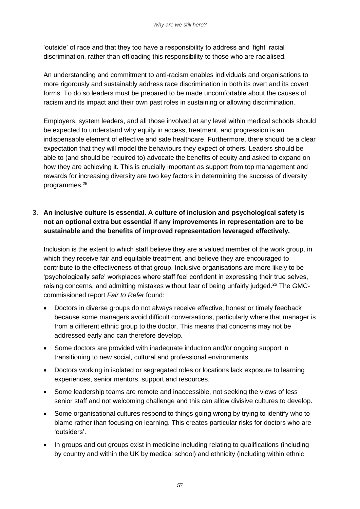'outside' of race and that they too have a responsibility to address and 'fight' racial discrimination, rather than offloading this responsibility to those who are racialised.

An understanding and commitment to anti-racism enables individuals and organisations to more rigorously and sustainably address race discrimination in both its overt and its covert forms. To do so leaders must be prepared to be made uncomfortable about the causes of racism and its impact and their own past roles in sustaining or allowing discrimination.

Employers, system leaders, and all those involved at any level within medical schools should be expected to understand why equity in access, treatment, and progression is an indispensable element of effective and safe healthcare. Furthermore, there should be a clear expectation that they will model the behaviours they expect of others. Leaders should be able to (and should be required to) advocate the benefits of equity and asked to expand on how they are achieving it. This is crucially important as support from top management and rewards for increasing diversity are two key factors in determining the success of diversity programmes.<sup>25</sup>

#### 3. **An inclusive culture is essential. A culture of inclusion and psychological safety is not an optional extra but essential if any improvements in representation are to be sustainable and the benefits of improved representation leveraged effectively.**

Inclusion is the extent to which staff believe they are a valued member of the work group, in which they receive fair and equitable treatment, and believe they are encouraged to contribute to the effectiveness of that group. Inclusive organisations are more likely to be 'psychologically safe' workplaces where staff feel confident in expressing their true selves, raising concerns, and admitting mistakes without fear of being unfairly judged.<sup>26</sup> The GMCcommissioned report *Fair to Refer* found:

- Doctors in diverse groups do not always receive effective, honest or timely feedback because some managers avoid difficult conversations, particularly where that manager is from a different ethnic group to the doctor. This means that concerns may not be addressed early and can therefore develop.
- Some doctors are provided with inadequate induction and/or ongoing support in transitioning to new social, cultural and professional environments.
- Doctors working in isolated or segregated roles or locations lack exposure to learning experiences, senior mentors, support and resources.
- Some leadership teams are remote and inaccessible, not seeking the views of less senior staff and not welcoming challenge and this can allow divisive cultures to develop.
- Some organisational cultures respond to things going wrong by trying to identify who to blame rather than focusing on learning. This creates particular risks for doctors who are 'outsiders'.
- In groups and out groups exist in medicine including relating to qualifications (including by country and within the UK by medical school) and ethnicity (including within ethnic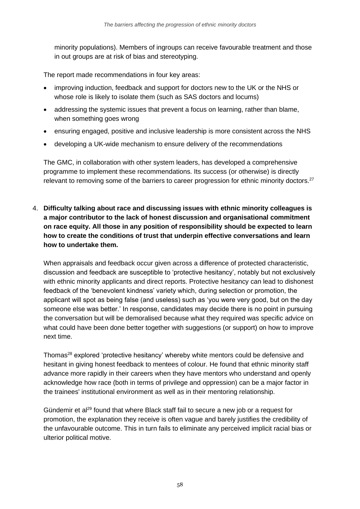minority populations). Members of ingroups can receive favourable treatment and those in out groups are at risk of bias and stereotyping.

The report made recommendations in four key areas:

- improving induction, feedback and support for doctors new to the UK or the NHS or whose role is likely to isolate them (such as SAS doctors and locums)
- addressing the systemic issues that prevent a focus on learning, rather than blame, when something goes wrong
- ensuring engaged, positive and inclusive leadership is more consistent across the NHS
- developing a UK-wide mechanism to ensure delivery of the recommendations

The GMC, in collaboration with other system leaders, has developed a comprehensive programme to implement these recommendations. Its success (or otherwise) is directly relevant to removing some of the barriers to career progression for ethnic minority doctors.<sup>27</sup>

4. **Difficulty talking about race and discussing issues with ethnic minority colleagues is a major contributor to the lack of honest discussion and organisational commitment on race equity. All those in any position of responsibility should be expected to learn how to create the conditions of trust that underpin effective conversations and learn how to undertake them.**

When appraisals and feedback occur given across a difference of protected characteristic, discussion and feedback are susceptible to 'protective hesitancy', notably but not exclusively with ethnic minority applicants and direct reports. Protective hesitancy can lead to dishonest feedback of the 'benevolent kindness' variety which, during selection or promotion, the applicant will spot as being false (and useless) such as 'you were very good, but on the day someone else was better.' In response, candidates may decide there is no point in pursuing the conversation but will be demoralised because what they required was specific advice on what could have been done better together with suggestions (or support) on how to improve next time.

Thomas<sup>28</sup> explored 'protective hesitancy' whereby white mentors could be defensive and hesitant in giving honest feedback to mentees of colour. He found that ethnic minority staff advance more rapidly in their careers when they have mentors who understand and openly acknowledge how race (both in terms of privilege and oppression) can be a major factor in the trainees' institutional environment as well as in their mentoring relationship.

Gündemir et al<sup>29</sup> found that where Black staff fail to secure a new job or a request for promotion, the explanation they receive is often vague and barely justifies the credibility of the unfavourable outcome. This in turn fails to eliminate any perceived implicit racial bias or ulterior political motive.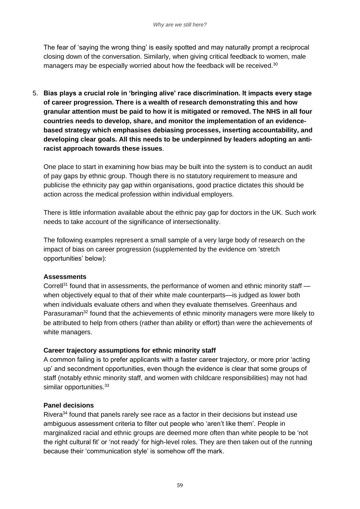The fear of 'saying the wrong thing' is easily spotted and may naturally prompt a reciprocal closing down of the conversation. Similarly, when giving critical feedback to women, male managers may be especially worried about how the feedback will be received.<sup>30</sup>

5. **Bias plays a crucial role in 'bringing alive' race discrimination. It impacts every stage of career progression. There is a wealth of research demonstrating this and how granular attention must be paid to how it is mitigated or removed. The NHS in all four countries needs to develop, share, and monitor the implementation of an evidencebased strategy which emphasises debiasing processes, inserting accountability, and developing clear goals. All this needs to be underpinned by leaders adopting an antiracist approach towards these issues**.

One place to start in examining how bias may be built into the system is to conduct an audit of pay gaps by ethnic group. Though there is no statutory requirement to measure and publicise the ethnicity pay gap within organisations, good practice dictates this should be action across the medical profession within individual employers.

There is little information available about the ethnic pay gap for doctors in the UK. Such work needs to take account of the significance of intersectionality.

The following examples represent a small sample of a very large body of research on the impact of bias on career progression (supplemented by the evidence om 'stretch opportunities' below):

#### **Assessments**

Correll<sup>31</sup> found that in assessments, the performance of women and ethnic minority staff  $$ when objectively equal to that of their white male counterparts—is judged as lower both when individuals evaluate others and when they evaluate themselves. Greenhaus and Parasuraman<sup>32</sup> found that the achievements of ethnic minority managers were more likely to be attributed to help from others (rather than ability or effort) than were the achievements of white managers.

#### **Career trajectory assumptions for ethnic minority staff**

A common failing is to prefer applicants with a faster career trajectory, or more prior 'acting up' and secondment opportunities, even though the evidence is clear that some groups of staff (notably ethnic minority staff, and women with childcare responsibilities) may not had similar opportunities.<sup>33</sup>

#### **Panel decisions**

Rivera<sup>34</sup> found that panels rarely see race as a factor in their decisions but instead use ambiguous assessment criteria to filter out people who 'aren't like them'. People in marginalized racial and ethnic groups are deemed more often than white people to be 'not the right cultural fit' or 'not ready' for high-level roles. They are then taken out of the running because their 'communication style' is somehow off the mark.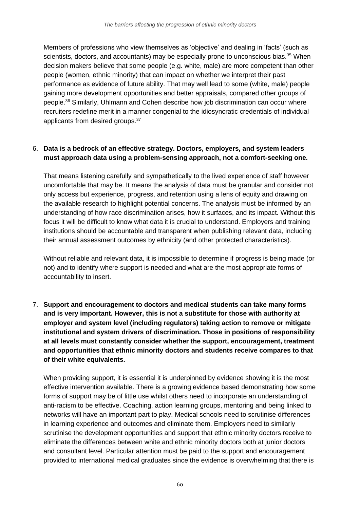Members of professions who view themselves as 'objective' and dealing in 'facts' (such as scientists, doctors, and accountants) may be especially prone to unconscious bias.<sup>35</sup> When decision makers believe that some people (e.g. white, male) are more competent than other people (women, ethnic minority) that can impact on whether we interpret their past performance as evidence of future ability. That may well lead to some (white, male) people gaining more development opportunities and better appraisals, compared other groups of people.<sup>36</sup> Similarly, Uhlmann and Cohen describe how job discrimination can occur where recruiters redefine merit in a manner congenial to the idiosyncratic credentials of individual applicants from desired groups.<sup>37</sup>

#### 6. **Data is a bedrock of an effective strategy. Doctors, employers, and system leaders must approach data using a problem-sensing approach, not a comfort-seeking one.**

That means listening carefully and sympathetically to the lived experience of staff however uncomfortable that may be. It means the analysis of data must be granular and consider not only access but experience, progress, and retention using a lens of equity and drawing on the available research to highlight potential concerns. The analysis must be informed by an understanding of how race discrimination arises, how it surfaces, and its impact. Without this focus it will be difficult to know what data it is crucial to understand. Employers and training institutions should be accountable and transparent when publishing relevant data, including their annual assessment outcomes by ethnicity (and other protected characteristics).

Without reliable and relevant data, it is impossible to determine if progress is being made (or not) and to identify where support is needed and what are the most appropriate forms of accountability to insert.

7. **Support and encouragement to doctors and medical students can take many forms and is very important. However, this is not a substitute for those with authority at employer and system level (including regulators) taking action to remove or mitigate institutional and system drivers of discrimination. Those in positions of responsibility at all levels must constantly consider whether the support, encouragement, treatment and opportunities that ethnic minority doctors and students receive compares to that of their white equivalents.**

When providing support, it is essential it is underpinned by evidence showing it is the most effective intervention available. There is a growing evidence based demonstrating how some forms of support may be of little use whilst others need to incorporate an understanding of anti-racism to be effective. Coaching, action learning groups, mentoring and being linked to networks will have an important part to play. Medical schools need to scrutinise differences in learning experience and outcomes and eliminate them. Employers need to similarly scrutinise the development opportunities and support that ethnic minority doctors receive to eliminate the differences between white and ethnic minority doctors both at junior doctors and consultant level. Particular attention must be paid to the support and encouragement provided to international medical graduates since the evidence is overwhelming that there is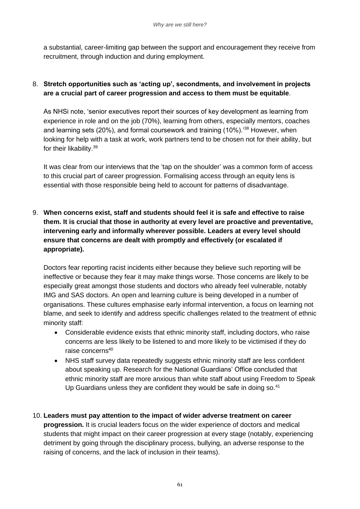a substantial, career-limiting gap between the support and encouragement they receive from recruitment, through induction and during employment.

#### 8. **Stretch opportunities such as 'acting up', secondments, and involvement in projects are a crucial part of career progression and access to them must be equitable**.

As NHSi note, 'senior executives report their sources of key development as learning from experience in role and on the job (70%), learning from others, especially mentors, coaches and learning sets (20%), and formal coursework and training (10%).<sup>'38</sup> However, when looking for help with a task at work, work partners tend to be chosen not for their ability, but for their likability.<sup>39</sup>

It was clear from our interviews that the 'tap on the shoulder' was a common form of access to this crucial part of career progression. Formalising access through an equity lens is essential with those responsible being held to account for patterns of disadvantage.

9. **When concerns exist, staff and students should feel it is safe and effective to raise them. It is crucial that those in authority at every level are proactive and preventative, intervening early and informally wherever possible. Leaders at every level should ensure that concerns are dealt with promptly and effectively (or escalated if appropriate).** 

Doctors fear reporting racist incidents either because they believe such reporting will be ineffective or because they fear it may make things worse. Those concerns are likely to be especially great amongst those students and doctors who already feel vulnerable, notably IMG and SAS doctors. An open and learning culture is being developed in a number of organisations. These cultures emphasise early informal intervention, a focus on learning not blame, and seek to identify and address specific challenges related to the treatment of ethnic minority staff:

- Considerable evidence exists that ethnic minority staff, including doctors, who raise concerns are less likely to be listened to and more likely to be victimised if they do raise concerns<sup>40</sup>
- NHS staff survey data repeatedly suggests ethnic minority staff are less confident about speaking up. Research for the National Guardians' Office concluded that ethnic minority staff are more anxious than white staff about using Freedom to Speak Up Guardians unless they are confident they would be safe in doing so.<sup>41</sup>
- 10. **Leaders must pay attention to the impact of wider adverse treatment on career progression.** It is crucial leaders focus on the wider experience of doctors and medical students that might impact on their career progression at every stage (notably, experiencing detriment by going through the disciplinary process, bullying, an adverse response to the raising of concerns, and the lack of inclusion in their teams).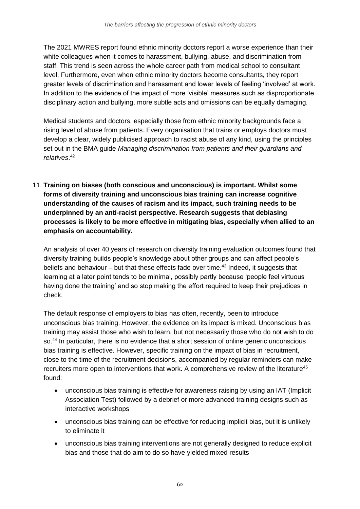The 2021 MWRES report found ethnic minority doctors report a worse experience than their white colleagues when it comes to harassment, bullying, abuse, and discrimination from staff. This trend is seen across the whole career path from medical school to consultant level. Furthermore, even when ethnic minority doctors become consultants, they report greater levels of discrimination and harassment and lower levels of feeling 'involved' at work. In addition to the evidence of the impact of more 'visible' measures such as disproportionate disciplinary action and bullying, more subtle acts and omissions can be equally damaging.

Medical students and doctors, especially those from ethnic minority backgrounds face a rising level of abuse from patients. Every organisation that trains or employs doctors must develop a clear, widely publicised approach to racist abuse of any kind, using the principles set out in the BMA guide *Managing discrimination from patients and their guardians and relatives*. 42

11. **Training on biases (both conscious and unconscious) is important. Whilst some forms of diversity training and unconscious bias training can increase cognitive understanding of the causes of racism and its impact, such training needs to be underpinned by an anti-racist perspective. Research suggests that debiasing processes is likely to be more effective in mitigating bias, especially when allied to an emphasis on accountability.**

An analysis of over 40 years of research on diversity training evaluation outcomes found that diversity training builds people's knowledge about other groups and can affect people's beliefs and behaviour – but that these effects fade over time.<sup>43</sup> Indeed, it suggests that learning at a later point tends to be minimal, possibly partly because 'people feel virtuous having done the training' and so stop making the effort required to keep their prejudices in check.

The default response of employers to bias has often, recently, been to introduce unconscious bias training. However, the evidence on its impact is mixed. Unconscious bias training may assist those who wish to learn, but not necessarily those who do not wish to do so.<sup>44</sup> In particular, there is no evidence that a short session of online generic unconscious bias training is effective. However, specific training on the impact of bias in recruitment, close to the time of the recruitment decisions, accompanied by regular reminders can make recruiters more open to interventions that work. A comprehensive review of the literature<sup>45</sup> found:

- unconscious bias training is effective for awareness raising by using an IAT (Implicit Association Test) followed by a debrief or more advanced training designs such as interactive workshops
- unconscious bias training can be effective for reducing implicit bias, but it is unlikely to eliminate it
- unconscious bias training interventions are not generally designed to reduce explicit bias and those that do aim to do so have yielded mixed results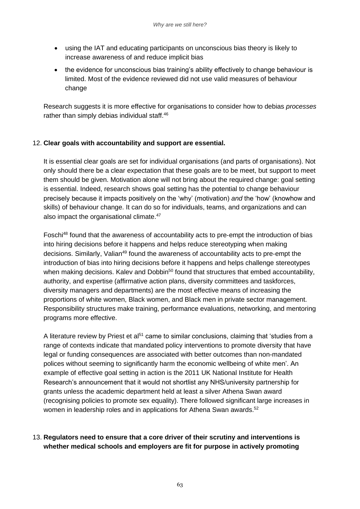- using the IAT and educating participants on unconscious bias theory is likely to increase awareness of and reduce implicit bias
- the evidence for unconscious bias training's ability effectively to change behaviour is limited. Most of the evidence reviewed did not use valid measures of behaviour change

Research suggests it is more effective for organisations to consider how to debias *processes* rather than simply debias individual staff.<sup>46</sup>

#### 12. **Clear goals with accountability and support are essential.**

It is essential clear goals are set for individual organisations (and parts of organisations). Not only should there be a clear expectation that these goals are to be meet, but support to meet them should be given. Motivation alone will not bring about the required change: goal setting is essential. Indeed, research shows goal setting has the potential to change behaviour precisely because it impacts positively on the 'why' (motivation) *and* the 'how' (knowhow and skills) of behaviour change. It can do so for individuals, teams, and organizations and can also impact the organisational climate.<sup>47</sup>

Foschi<sup>48</sup> found that the awareness of accountability acts to pre-empt the introduction of bias into hiring decisions before it happens and helps reduce stereotyping when making decisions. Similarly, Valian<sup>49</sup> found the awareness of accountability acts to pre-empt the introduction of bias into hiring decisions before it happens and helps challenge stereotypes when making decisions. Kalev and Dobbin<sup>50</sup> found that structures that embed accountability, authority, and expertise (affirmative action plans, diversity committees and taskforces, diversity managers and departments) are the most effective means of increasing the proportions of white women, Black women, and Black men in private sector management. Responsibility structures make training, performance evaluations, networking, and mentoring programs more effective.

A literature review by Priest et al<sup>51</sup> came to similar conclusions, claiming that 'studies from a range of contexts indicate that mandated policy interventions to promote diversity that have legal or funding consequences are associated with better outcomes than non-mandated polices without seeming to significantly harm the economic wellbeing of white men'. An example of effective goal setting in action is the 2011 UK National Institute for Health Research's announcement that it would not shortlist any NHS/university partnership for grants unless the academic department held at least a silver Athena Swan award (recognising policies to promote sex equality). There followed significant large increases in women in leadership roles and in applications for Athena Swan awards.<sup>52</sup>

#### 13. **Regulators need to ensure that a core driver of their scrutiny and interventions is whether medical schools and employers are fit for purpose in actively promoting**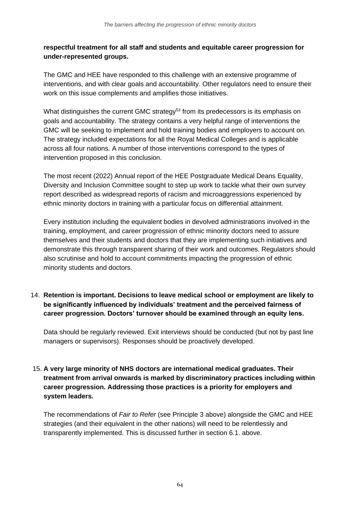#### **respectful treatment for all staff and students and equitable career progression for under-represented groups.**

The GMC and HEE have responded to this challenge with an extensive programme of interventions, and with clear goals and accountability. Other regulators need to ensure their work on this issue complements and amplifies those initiatives.

What distinguishes the current GMC strategy<sup>53</sup> from its predecessors is its emphasis on goals and accountability. The strategy contains a very helpful range of interventions the GMC will be seeking to implement and hold training bodies and employers to account on. The strategy included expectations for all the Royal Medical Colleges and is applicable across all four nations. A number of those interventions correspond to the types of intervention proposed in this conclusion.

The most recent (2022) Annual report of the HEE Postgraduate Medical Deans Equality, Diversity and Inclusion Committee sought to step up work to tackle what their own survey report described as widespread reports of racism and microaggressions experienced by ethnic minority doctors in training with a particular focus on differential attainment.

Every institution including the equivalent bodies in devolved administrations involved in the training, employment, and career progression of ethnic minority doctors need to assure themselves and their students and doctors that they are implementing such initiatives and demonstrate this through transparent sharing of their work and outcomes. Regulators should also scrutinise and hold to account commitments impacting the progression of ethnic minority students and doctors.

14. **Retention is important. Decisions to leave medical school or employment are likely to be significantly influenced by individuals' treatment and the perceived fairness of career progression. Doctors' turnover should be examined through an equity lens.**

Data should be regularly reviewed. Exit interviews should be conducted (but not by past line managers or supervisors). Responses should be proactively developed.

#### 15. **A very large minority of NHS doctors are international medical graduates. Their treatment from arrival onwards is marked by discriminatory practices including within career progression. Addressing those practices is a priority for employers and system leaders.**

The recommendations of *Fair to Refer* (see Principle 3 above) alongside the GMC and HEE strategies (and their equivalent in the other nations) will need to be relentlessly and transparently implemented. This is discussed further in section 6.1. above.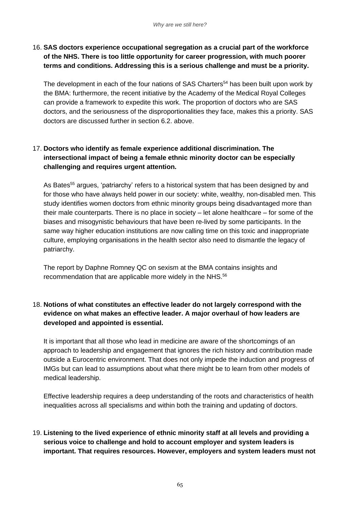#### 16. **SAS doctors experience occupational segregation as a crucial part of the workforce of the NHS. There is too little opportunity for career progression, with much poorer terms and conditions. Addressing this is a serious challenge and must be a priority.**

The development in each of the four nations of SAS Charters<sup>54</sup> has been built upon work by the BMA: furthermore, the recent initiative by the Academy of the Medical Royal Colleges can provide a framework to expedite this work. The proportion of doctors who are SAS doctors, and the seriousness of the disproportionalities they face, makes this a priority. SAS doctors are discussed further in section 6.2. above.

#### 17. **Doctors who identify as female experience additional discrimination. The intersectional impact of being a female ethnic minority doctor can be especially challenging and requires urgent attention.**

As Bates<sup>55</sup> argues, 'patriarchy' refers to a historical system that has been designed by and for those who have always held power in our society: white, wealthy, non-disabled men. This study identifies women doctors from ethnic minority groups being disadvantaged more than their male counterparts. There is no place in society – let alone healthcare – for some of the biases and misogynistic behaviours that have been re-lived by some participants. In the same way higher education institutions are now calling time on this toxic and inappropriate culture, employing organisations in the health sector also need to dismantle the legacy of patriarchy.

The report by Daphne Romney QC on sexism at the BMA contains insights and recommendation that are applicable more widely in the NHS.<sup>56</sup>

#### 18. **Notions of what constitutes an effective leader do not largely correspond with the evidence on what makes an effective leader. A major overhaul of how leaders are developed and appointed is essential.**

It is important that all those who lead in medicine are aware of the shortcomings of an approach to leadership and engagement that ignores the rich history and contribution made outside a Eurocentric environment. That does not only impede the induction and progress of IMGs but can lead to assumptions about what there might be to learn from other models of medical leadership.

Effective leadership requires a deep understanding of the roots and characteristics of health inequalities across all specialisms and within both the training and updating of doctors.

#### 19. **Listening to the lived experience of ethnic minority staff at all levels and providing a serious voice to challenge and hold to account employer and system leaders is important. That requires resources. However, employers and system leaders must not**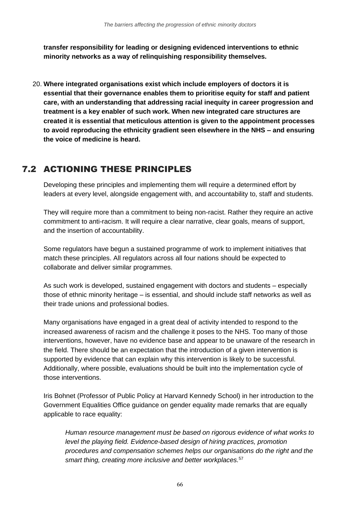**transfer responsibility for leading or designing evidenced interventions to ethnic minority networks as a way of relinquishing responsibility themselves.**

20. **Where integrated organisations exist which include employers of doctors it is essential that their governance enables them to prioritise equity for staff and patient care, with an understanding that addressing racial inequity in career progression and treatment is a key enabler of such work. When new integrated care structures are created it is essential that meticulous attention is given to the appointment processes to avoid reproducing the ethnicity gradient seen elsewhere in the NHS – and ensuring the voice of medicine is heard.**

## 7.2 ACTIONING THESE PRINCIPLES

Developing these principles and implementing them will require a determined effort by leaders at every level, alongside engagement with, and accountability to, staff and students.

They will require more than a commitment to being non-racist. Rather they require an active commitment to anti-racism. It will require a clear narrative, clear goals, means of support, and the insertion of accountability.

Some regulators have begun a sustained programme of work to implement initiatives that match these principles. All regulators across all four nations should be expected to collaborate and deliver similar programmes.

As such work is developed, sustained engagement with doctors and students – especially those of ethnic minority heritage – is essential, and should include staff networks as well as their trade unions and professional bodies.

Many organisations have engaged in a great deal of activity intended to respond to the increased awareness of racism and the challenge it poses to the NHS. Too many of those interventions, however, have no evidence base and appear to be unaware of the research in the field. There should be an expectation that the introduction of a given intervention is supported by evidence that can explain why this intervention is likely to be successful. Additionally, where possible, evaluations should be built into the implementation cycle of those interventions.

Iris Bohnet (Professor of Public Policy at Harvard Kennedy School) in her introduction to the Government Equalities Office guidance on gender equality made remarks that are equally applicable to race equality:

*Human resource management must be based on rigorous evidence of what works to level the playing field. Evidence-based design of hiring practices, promotion procedures and compensation schemes helps our organisations do the right and the smart thing, creating more inclusive and better workplaces.*57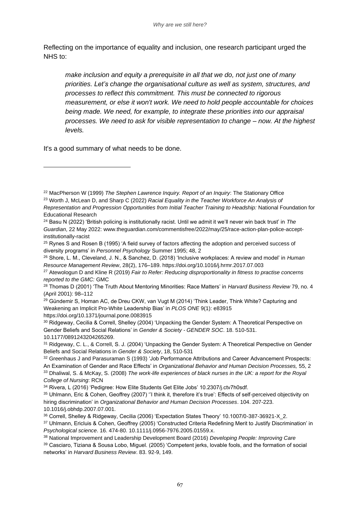Reflecting on the importance of equality and inclusion, one research participant urged the NHS to:

*make inclusion and equity a prerequisite in all that we do, not just one of many priorities. Let's change the organisational culture as well as system, structures, and processes to reflect this commitment. This must be connected to rigorous measurement, or else it won't work. We need to hold people accountable for choices being made. We need, for example, to integrate these priorities into our appraisal processes. We need to ask for visible representation to change – now. At the highest levels.*

It's a good summary of what needs to be done.

<sup>26</sup> Shore, L. M., Cleveland, J. N., & Sanchez, D. (2018) 'Inclusive workplaces: A review and model' in *Human Resource Management Review*, 28(2), 176–189. https://doi.org/10.1016/j.hrmr.2017.07.003

<sup>29</sup> Gündemir S, Homan AC, de Dreu CKW, van Vugt M (2014) 'Think Leader, Think White? Capturing and Weakening an Implicit Pro-White Leadership Bias' in *PLOS ONE* 9(1): e83915 https://doi.org/10.1371/journal.pone.0083915

<sup>30</sup> Ridgeway, Cecilia & Correll, Shelley (2004) 'Unpacking the Gender System: A Theoretical Perspective on Gender Beliefs and Social Relations' in *Gender & Society - GENDER SOC*. 18. 510-531. 10.1177/0891243204265269.

<sup>31</sup> Ridgeway, C. L., & Correll, S. J. (2004) 'Unpacking the Gender System: A Theoretical Perspective on Gender Beliefs and Social Relations in *Gender & Society*, 18, 510-531

32 Greenhaus J and Parasuraman S (1993) 'Job Performance Attributions and Career Advancement Prospects: An Examination of Gender and Race Effects' in *Organizational Behavior and Human Decision Processes,* 55, 2 <sup>33</sup> Dhaliwal, S. & McKay, S. (2008) *The work-life experiences of black nurses in the UK: a report for the Royal College of Nursing*: RCN

<sup>34</sup> Rivera, L (2016) 'Pedigree: How Elite Students Get Elite Jobs' 10.2307/j.ctv7h0sdf.

<sup>38</sup> National Improvement and Leadership Development Board (2016) *Developing People: Improving Care* 

<sup>22</sup> MacPherson W (1999) *The Stephen Lawrence Inquiry. Report of an Inquiry*: The Stationary Office

<sup>23</sup> Worth J, McLean D, and Sharp C (2022) *Racial Equality in the Teacher Workforce An Analysis of Representation and Progression Opportunities from Initial Teacher Training to Headship:* National Foundation for Educational Research

<sup>24</sup> Basu N (2022) 'British policing is institutionally racist. Until we admit it we'll never win back trust' in *The Guardian*, 22 May 2022: www.theguardian.com/commentisfree/2022/may/25/race-action-plan-police-acceptinstitutionally-racist

<sup>&</sup>lt;sup>25</sup> Rynes S and Rosen B (1995) 'A field survey of factors affecting the adoption and perceived success of diversity programs' in *Personnel Psychology* Summer 1995; 48, 2

<sup>27</sup> Atewologun D and Kline R (2019) *Fair to Refer: Reducing disproportionality in fitness to practise concerns reported to the GMC:* GMC

<sup>28</sup> Thomas D (2001) 'The Truth About Mentoring Minorities: Race Matters' in *Harvard Business Review* 79, no. 4 (April 2001): 98–112

<sup>35</sup> Uhlmann, Eric & Cohen, Geoffrey (2007) "I think it, therefore it's true': Effects of self-perceived objectivity on hiring discrimination' in *Organizational Behavior and Human Decision Processes*. 104. 207-223. 10.1016/j.obhdp.2007.07.001.

<sup>36</sup> Correll, Shelley & Ridgeway, Cecilia (2006) 'Expectation States Theory' 10.1007/0-387-36921-X\_2.

<sup>37</sup> Uhlmann, Ericluis & Cohen, Geoffrey (2005) 'Constructed Criteria Redefining Merit to Justify Discrimination' in *Psychological science*. 16. 474-80. 10.1111/j.0956-7976.2005.01559.x.

<sup>39</sup> Casciaro, Tiziana & Sousa Lobo, Miguel. (2005) 'Competent jerks, lovable fools, and the formation of social networks' in *Harvard Business Review*. 83. 92-9, 149.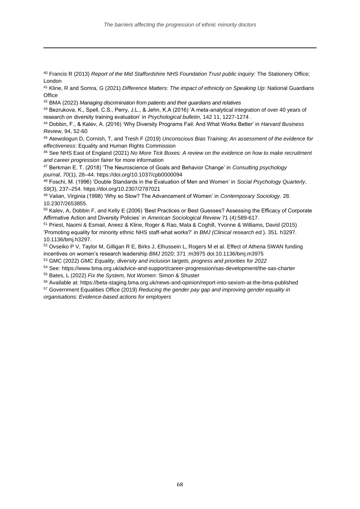<sup>40</sup> Francis R (2013) *Report of the Mid Staffordshire NHS Foundation Trust public inquiry:* The Stationery Office; London

<sup>41</sup> Kline, R and Somra, G (2021) *Difference Matters: The impact of ethnicity on Speaking Up*: National Guardians **Office** 

<sup>42</sup> BMA (2022) *Managing discrimination from patients and their guardians and relatives*

<sup>43</sup> Bezrukova, K., Spell, C.S., Perry, J.L., & Jehn, K.A (2016) 'A meta-analytical integration of over 40 years of research on diversity training evaluation' in *Psychological bulletin*, 142 11, 1227-1274 .

<sup>44</sup> Dobbin, F., & Kalev, A. (2016) 'Why Diversity Programs Fail: And What Works Better' in *Harvard Business Review*, 94, 52-60

<sup>45</sup> Atewologun D, Cornish, T, and Tresh F (2019) *Unconscious Bias Training; An assessment of the evidence for effectiveness*: Equality and Human Rights Commission

<sup>46</sup> See NHS East of England (2021) *No More Tick Boxes: A review on the evidence on how to make recruitment and career progression fairer* for more information

<sup>47</sup> Berkman E. T. (2018) 'The Neuroscience of Goals and Behavior Change' in *Consulting psychology journal*, *70*(1), 28–44. https://doi.org/10.1037/cpb0000094

<sup>48</sup> Foschi, M. (1996) 'Double Standards in the Evaluation of Men and Women' in *Social Psychology Quarterly*, *59*(3), 237–254. https://doi.org/10.2307/2787021

<sup>49</sup> Valian, Virginia (1998) 'Why so Slow? The Advancement of Women' in *Contemporary Sociology*. 28. 10.2307/2653855.

<sup>50</sup> Kalev, A, Dobbin F, and Kelly E (2006) 'Best Practices or Best Guesses? Assessing the Efficacy of Corporate Affirmative Action and Diversity Policies' in *American Sociological Review* 71 (4):589-617.

<sup>51</sup> Priest, Naomi & Esmail, Aneez & Kline, Roger & Rao, Mala & Coghill, Yvonne & Williams, David (2015) 'Promoting equality for minority ethnic NHS staff-what works?' in *BMJ (Clinical research ed.*). 351. h3297. 10.1136/bmj.h3297.

<sup>52</sup> Ovseiko P V, Taylor M, Gilligan R E, Birks J, Elhussein L, Rogers M et al. Effect of Athena SWAN funding incentives on women's research leadership *BMJ* 2020; 371 :m3975 doi:10.1136/bmj.m3975

<sup>53</sup> GMC (2022) *GMC Equality, diversity and inclusion targets, progress and priorities for 2022*

<sup>54</sup> See: https://www.bma.org.uk/advice-and-support/career-progression/sas-development/the-sas-charter

<sup>55</sup> Bates, L (2022) *Fix the System, Not Women*: Simon & Shuster

<sup>56</sup> Available at: https://beta-staging.bma.org.uk/news-and-opinion/report-into-sexism-at-the-bma-published

<sup>57</sup> Government Equalities Office (2019) *Reducing the gender pay gap and improving gender equality in organisations: Evidence-based actions for employers*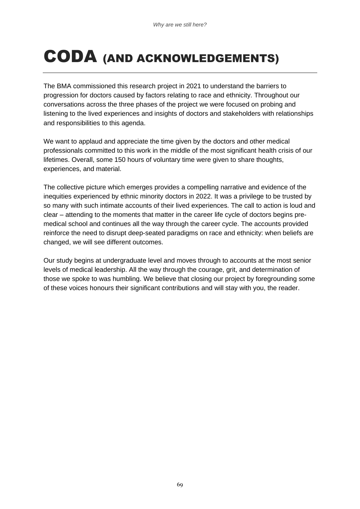## CODA (AND ACKNOWLEDGEMENTS)

The BMA commissioned this research project in 2021 to understand the barriers to progression for doctors caused by factors relating to race and ethnicity. Throughout our conversations across the three phases of the project we were focused on probing and listening to the lived experiences and insights of doctors and stakeholders with relationships and responsibilities to this agenda.

We want to applaud and appreciate the time given by the doctors and other medical professionals committed to this work in the middle of the most significant health crisis of our lifetimes. Overall, some 150 hours of voluntary time were given to share thoughts, experiences, and material.

The collective picture which emerges provides a compelling narrative and evidence of the inequities experienced by ethnic minority doctors in 2022. It was a privilege to be trusted by so many with such intimate accounts of their lived experiences. The call to action is loud and clear – attending to the moments that matter in the career life cycle of doctors begins premedical school and continues all the way through the career cycle. The accounts provided reinforce the need to disrupt deep-seated paradigms on race and ethnicity: when beliefs are changed, we will see different outcomes.

Our study begins at undergraduate level and moves through to accounts at the most senior levels of medical leadership. All the way through the courage, grit, and determination of those we spoke to was humbling. We believe that closing our project by foregrounding some of these voices honours their significant contributions and will stay with you, the reader.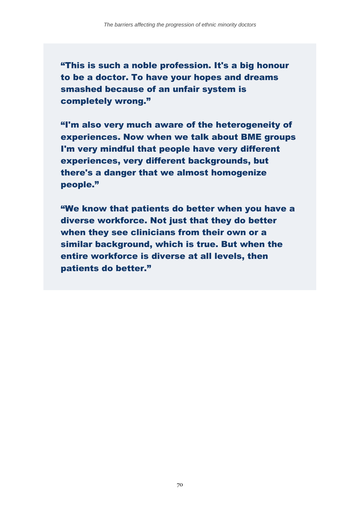"This is such a noble profession. It's a big honour to be a doctor. To have your hopes and dreams smashed because of an unfair system is completely wrong."

"I'm also very much aware of the heterogeneity of experiences. Now when we talk about BME groups I'm very mindful that people have very different experiences, very different backgrounds, but there's a danger that we almost homogenize people."

"We know that patients do better when you have a diverse workforce. Not just that they do better when they see clinicians from their own or a similar background, which is true. But when the entire workforce is diverse at all levels, then patients do better."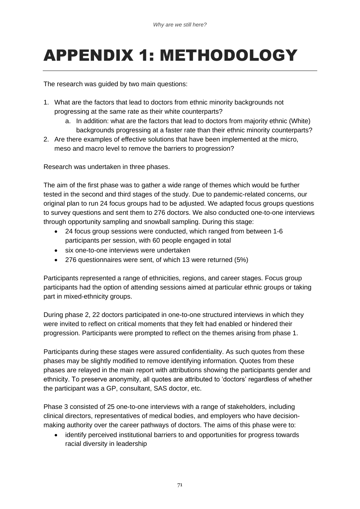# APPENDIX 1: METHODOLOGY

The research was guided by two main questions:

- 1. What are the factors that lead to doctors from ethnic minority backgrounds not progressing at the same rate as their white counterparts?
	- a. In addition: what are the factors that lead to doctors from majority ethnic (White) backgrounds progressing at a faster rate than their ethnic minority counterparts?
- 2. Are there examples of effective solutions that have been implemented at the micro, meso and macro level to remove the barriers to progression?

Research was undertaken in three phases.

The aim of the first phase was to gather a wide range of themes which would be further tested in the second and third stages of the study. Due to pandemic-related concerns, our original plan to run 24 focus groups had to be adjusted. We adapted focus groups questions to survey questions and sent them to 276 doctors. We also conducted one-to-one interviews through opportunity sampling and snowball sampling. During this stage:

- 24 focus group sessions were conducted, which ranged from between 1-6 participants per session, with 60 people engaged in total
- six one-to-one interviews were undertaken
- 276 questionnaires were sent, of which 13 were returned (5%)

Participants represented a range of ethnicities, regions, and career stages. Focus group participants had the option of attending sessions aimed at particular ethnic groups or taking part in mixed-ethnicity groups.

During phase 2, 22 doctors participated in one-to-one structured interviews in which they were invited to reflect on critical moments that they felt had enabled or hindered their progression. Participants were prompted to reflect on the themes arising from phase 1.

Participants during these stages were assured confidentiality. As such quotes from these phases may be slightly modified to remove identifying information. Quotes from these phases are relayed in the main report with attributions showing the participants gender and ethnicity. To preserve anonymity, all quotes are attributed to 'doctors' regardless of whether the participant was a GP, consultant, SAS doctor, etc.

Phase 3 consisted of 25 one-to-one interviews with a range of stakeholders, including clinical directors, representatives of medical bodies, and employers who have decisionmaking authority over the career pathways of doctors. The aims of this phase were to:

• identify perceived institutional barriers to and opportunities for progress towards racial diversity in leadership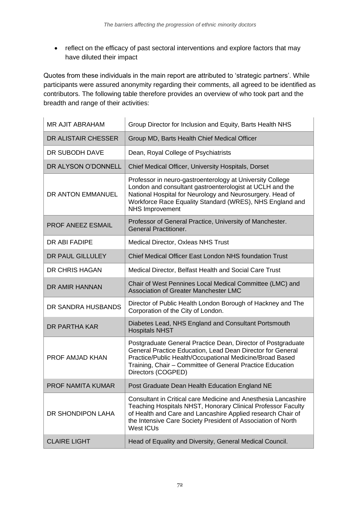• reflect on the efficacy of past sectoral interventions and explore factors that may have diluted their impact

Quotes from these individuals in the main report are attributed to 'strategic partners'. While participants were assured anonymity regarding their comments, all agreed to be identified as contributors. The following table therefore provides an overview of who took part and the breadth and range of their activities:

| MR AJIT ABRAHAM          | Group Director for Inclusion and Equity, Barts Health NHS                                                                                                                                                                                                                         |
|--------------------------|-----------------------------------------------------------------------------------------------------------------------------------------------------------------------------------------------------------------------------------------------------------------------------------|
| DR ALISTAIR CHESSER      | Group MD, Barts Health Chief Medical Officer                                                                                                                                                                                                                                      |
| DR SUBODH DAVE           | Dean, Royal College of Psychiatrists                                                                                                                                                                                                                                              |
| DR ALYSON O'DONNELL      | Chief Medical Officer, University Hospitals, Dorset                                                                                                                                                                                                                               |
| DR ANTON EMMANUEL        | Professor in neuro-gastroenterology at University College<br>London and consultant gastroenterologist at UCLH and the<br>National Hospital for Neurology and Neurosurgery. Head of<br>Workforce Race Equality Standard (WRES), NHS England and<br><b>NHS Improvement</b>          |
| <b>PROF ANEEZ ESMAIL</b> | Professor of General Practice, University of Manchester.<br><b>General Practitioner.</b>                                                                                                                                                                                          |
| DR ABI FADIPE            | Medical Director, Oxleas NHS Trust                                                                                                                                                                                                                                                |
| <b>DR PAUL GILLULEY</b>  | Chief Medical Officer East London NHS foundation Trust                                                                                                                                                                                                                            |
| DR CHRIS HAGAN           | Medical Director, Belfast Health and Social Care Trust                                                                                                                                                                                                                            |
| DR AMIR HANNAN           | Chair of West Pennines Local Medical Committee (LMC) and<br>Association of Greater Manchester LMC                                                                                                                                                                                 |
| DR SANDRA HUSBANDS       | Director of Public Health London Borough of Hackney and The<br>Corporation of the City of London.                                                                                                                                                                                 |
| DR PARTHA KAR            | Diabetes Lead, NHS England and Consultant Portsmouth<br><b>Hospitals NHST</b>                                                                                                                                                                                                     |
| PROF AMJAD KHAN          | Postgraduate General Practice Dean, Director of Postgraduate<br>General Practice Education, Lead Dean Director for General<br>Practice/Public Health/Occupational Medicine/Broad Based<br>Training, Chair - Committee of General Practice Education<br>Directors (COGPED)         |
| <b>PROF NAMITA KUMAR</b> | Post Graduate Dean Health Education England NE                                                                                                                                                                                                                                    |
| DR SHONDIPON LAHA        | Consultant in Critical care Medicine and Anesthesia Lancashire<br>Teaching Hospitals NHST, Honorary Clinical Professor Faculty<br>of Health and Care and Lancashire Applied research Chair of<br>the Intensive Care Society President of Association of North<br><b>West ICUs</b> |
| <b>CLAIRE LIGHT</b>      | Head of Equality and Diversity, General Medical Council.                                                                                                                                                                                                                          |